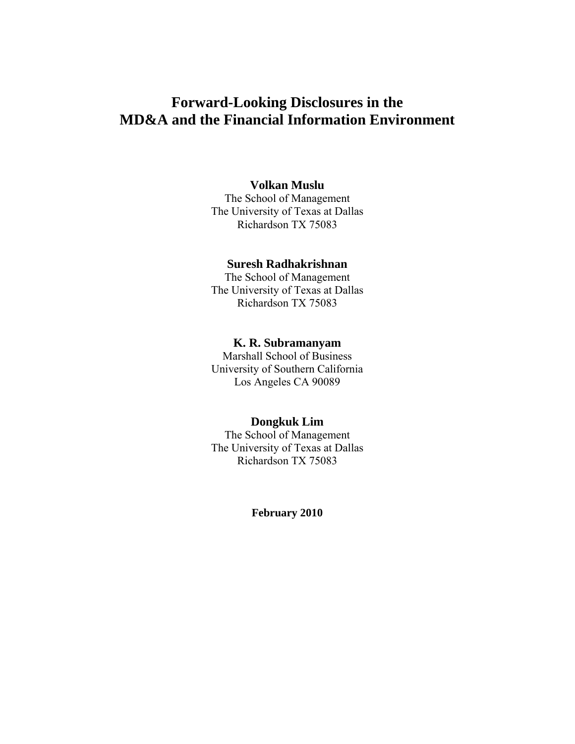# **Forward-Looking Disclosures in the MD&A and the Financial Information Environment**

# **Volkan Muslu**

The School of Management The University of Texas at Dallas Richardson TX 75083

# **Suresh Radhakrishnan**

The School of Management The University of Texas at Dallas Richardson TX 75083

## **K. R. Subramanyam**

Marshall School of Business University of Southern California Los Angeles CA 90089

# **Dongkuk Lim**

The School of Management The University of Texas at Dallas Richardson TX 75083

### **February 2010**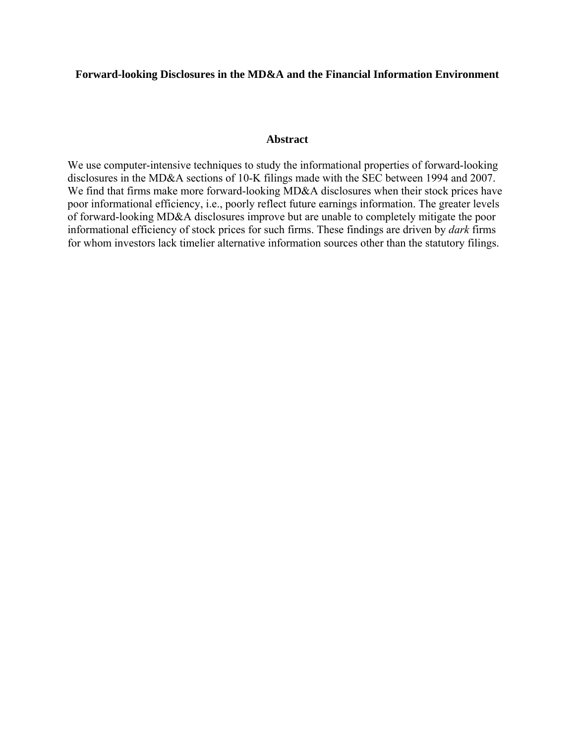### **Forward-looking Disclosures in the MD&A and the Financial Information Environment**

# **Abstract**

We use computer-intensive techniques to study the informational properties of forward-looking disclosures in the MD&A sections of 10-K filings made with the SEC between 1994 and 2007. We find that firms make more forward-looking MD&A disclosures when their stock prices have poor informational efficiency, i.e., poorly reflect future earnings information. The greater levels of forward-looking MD&A disclosures improve but are unable to completely mitigate the poor informational efficiency of stock prices for such firms. These findings are driven by *dark* firms for whom investors lack timelier alternative information sources other than the statutory filings.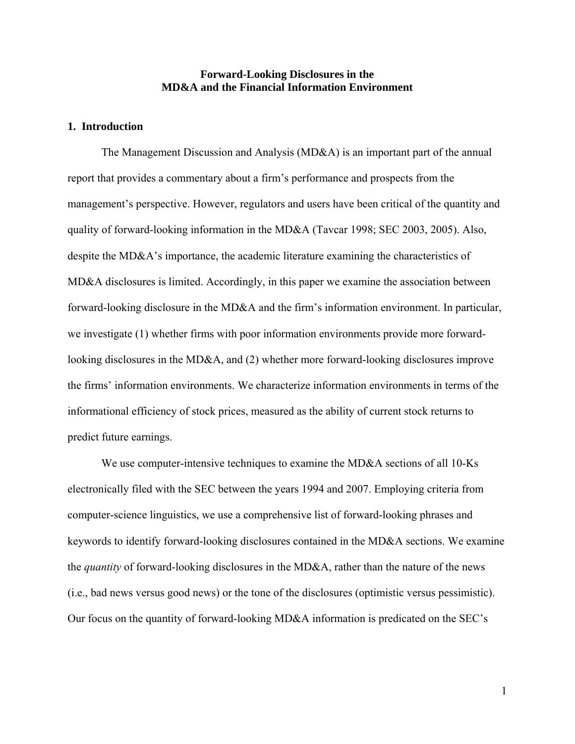# **Forward-Looking Disclosures in the MD&A and the Financial Information Environment**

# **1. Introduction**

The Management Discussion and Analysis (MD&A) is an important part of the annual report that provides a commentary about a firm's performance and prospects from the management's perspective. However, regulators and users have been critical of the quantity and quality of forward-looking information in the MD&A (Tavcar 1998; SEC 2003, 2005). Also, despite the MD&A's importance, the academic literature examining the characteristics of MD&A disclosures is limited. Accordingly, in this paper we examine the association between forward-looking disclosure in the MD&A and the firm's information environment. In particular, we investigate (1) whether firms with poor information environments provide more forwardlooking disclosures in the MD&A, and (2) whether more forward-looking disclosures improve the firms' information environments. We characterize information environments in terms of the informational efficiency of stock prices, measured as the ability of current stock returns to predict future earnings.

We use computer-intensive techniques to examine the MD&A sections of all 10-Ks electronically filed with the SEC between the years 1994 and 2007. Employing criteria from computer-science linguistics, we use a comprehensive list of forward-looking phrases and keywords to identify forward-looking disclosures contained in the MD&A sections. We examine the *quantity* of forward-looking disclosures in the MD&A, rather than the nature of the news (i.e., bad news versus good news) or the tone of the disclosures (optimistic versus pessimistic). Our focus on the quantity of forward-looking MD&A information is predicated on the SEC's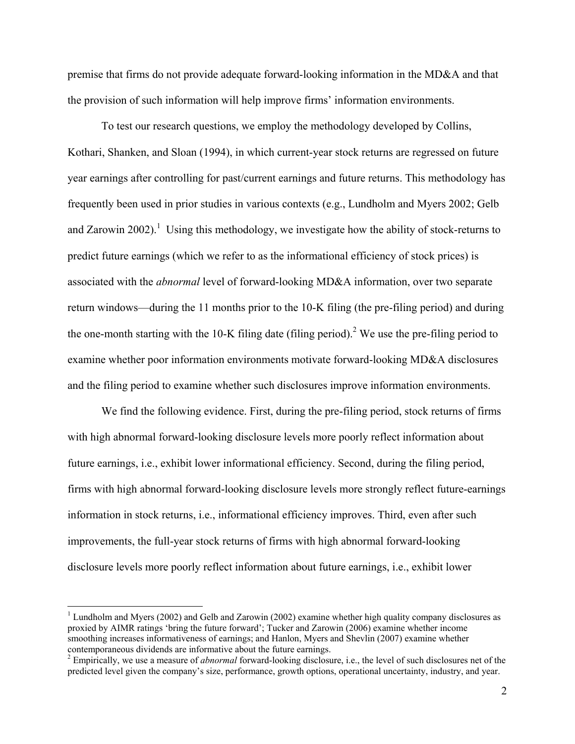premise that firms do not provide adequate forward-looking information in the MD&A and that the provision of such information will help improve firms' information environments.

To test our research questions, we employ the methodology developed by Collins, Kothari, Shanken, and Sloan (1994), in which current-year stock returns are regressed on future year earnings after controlling for past/current earnings and future returns. This methodology has frequently been used in prior studies in various contexts (e.g., Lundholm and Myers 2002; Gelb and Zarowin 2002).<sup>1</sup> Using this methodology, we investigate how the ability of stock-returns to predict future earnings (which we refer to as the informational efficiency of stock prices) is associated with the *abnormal* level of forward-looking MD&A information, over two separate return windows—during the 11 months prior to the 10-K filing (the pre-filing period) and during the one-month starting with the 10-K filing date (filing period).<sup>2</sup> We use the pre-filing period to examine whether poor information environments motivate forward-looking MD&A disclosures and the filing period to examine whether such disclosures improve information environments.

We find the following evidence. First, during the pre-filing period, stock returns of firms with high abnormal forward-looking disclosure levels more poorly reflect information about future earnings, i.e., exhibit lower informational efficiency. Second, during the filing period, firms with high abnormal forward-looking disclosure levels more strongly reflect future-earnings information in stock returns, i.e., informational efficiency improves. Third, even after such improvements, the full-year stock returns of firms with high abnormal forward-looking disclosure levels more poorly reflect information about future earnings, i.e., exhibit lower

 $\overline{a}$ 

<sup>&</sup>lt;sup>1</sup> Lundholm and Myers (2002) and Gelb and Zarowin (2002) examine whether high quality company disclosures as proxied by AIMR ratings 'bring the future forward'; Tucker and Zarowin (2006) examine whether income smoothing increases informativeness of earnings; and Hanlon, Myers and Shevlin (2007) examine whether contemporaneous dividends are informative about the future earnings.

<sup>2</sup> Empirically, we use a measure of *abnormal* forward-looking disclosure, i.e., the level of such disclosures net of the predicted level given the company's size, performance, growth options, operational uncertainty, industry, and year.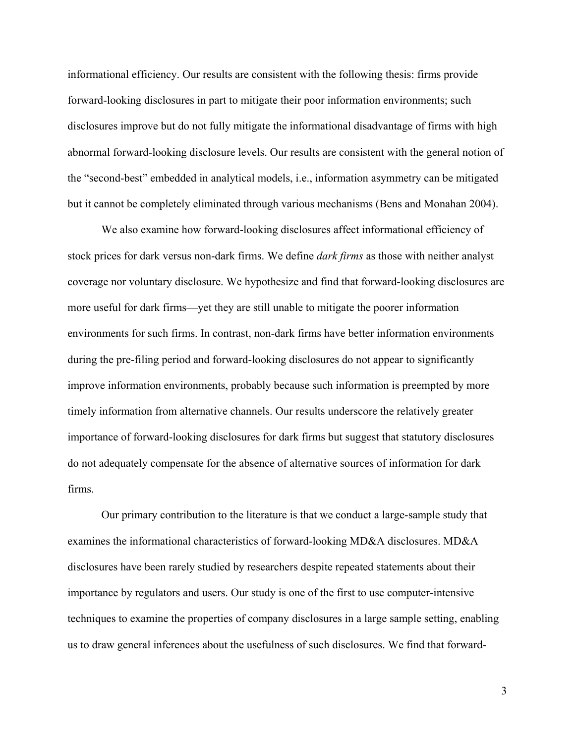informational efficiency. Our results are consistent with the following thesis: firms provide forward-looking disclosures in part to mitigate their poor information environments; such disclosures improve but do not fully mitigate the informational disadvantage of firms with high abnormal forward-looking disclosure levels. Our results are consistent with the general notion of the "second-best" embedded in analytical models, i.e., information asymmetry can be mitigated but it cannot be completely eliminated through various mechanisms (Bens and Monahan 2004).

We also examine how forward-looking disclosures affect informational efficiency of stock prices for dark versus non-dark firms. We define *dark firms* as those with neither analyst coverage nor voluntary disclosure. We hypothesize and find that forward-looking disclosures are more useful for dark firms—yet they are still unable to mitigate the poorer information environments for such firms. In contrast, non-dark firms have better information environments during the pre-filing period and forward-looking disclosures do not appear to significantly improve information environments, probably because such information is preempted by more timely information from alternative channels. Our results underscore the relatively greater importance of forward-looking disclosures for dark firms but suggest that statutory disclosures do not adequately compensate for the absence of alternative sources of information for dark firms.

Our primary contribution to the literature is that we conduct a large-sample study that examines the informational characteristics of forward-looking MD&A disclosures. MD&A disclosures have been rarely studied by researchers despite repeated statements about their importance by regulators and users. Our study is one of the first to use computer-intensive techniques to examine the properties of company disclosures in a large sample setting, enabling us to draw general inferences about the usefulness of such disclosures. We find that forward-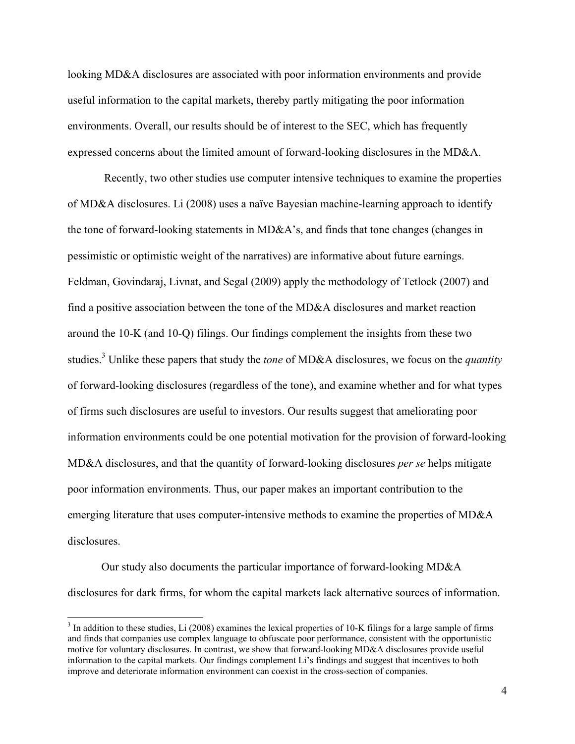looking MD&A disclosures are associated with poor information environments and provide useful information to the capital markets, thereby partly mitigating the poor information environments. Overall, our results should be of interest to the SEC, which has frequently expressed concerns about the limited amount of forward-looking disclosures in the MD&A.

 Recently, two other studies use computer intensive techniques to examine the properties of MD&A disclosures. Li (2008) uses a naïve Bayesian machine-learning approach to identify the tone of forward-looking statements in MD&A's, and finds that tone changes (changes in pessimistic or optimistic weight of the narratives) are informative about future earnings. Feldman, Govindaraj, Livnat, and Segal (2009) apply the methodology of Tetlock (2007) and find a positive association between the tone of the MD&A disclosures and market reaction around the 10-K (and 10-Q) filings. Our findings complement the insights from these two studies.3 Unlike these papers that study the *tone* of MD&A disclosures, we focus on the *quantity* of forward-looking disclosures (regardless of the tone), and examine whether and for what types of firms such disclosures are useful to investors. Our results suggest that ameliorating poor information environments could be one potential motivation for the provision of forward-looking MD&A disclosures, and that the quantity of forward-looking disclosures *per se* helps mitigate poor information environments. Thus, our paper makes an important contribution to the emerging literature that uses computer-intensive methods to examine the properties of MD&A disclosures.

Our study also documents the particular importance of forward-looking MD&A disclosures for dark firms, for whom the capital markets lack alternative sources of information.

 $3 \text{ In addition to these studies, Li (2008) examines the lexical properties of 10-K films for a large sample of firms.}$ and finds that companies use complex language to obfuscate poor performance, consistent with the opportunistic motive for voluntary disclosures. In contrast, we show that forward-looking MD&A disclosures provide useful information to the capital markets. Our findings complement Li's findings and suggest that incentives to both improve and deteriorate information environment can coexist in the cross-section of companies.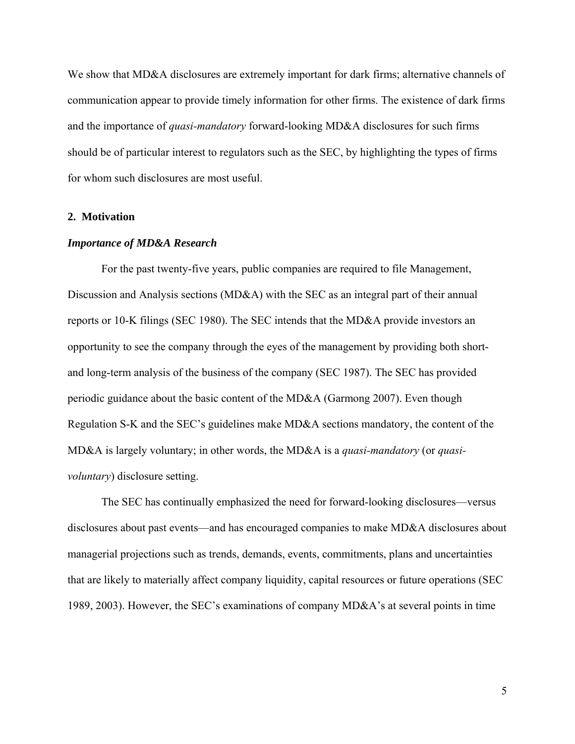We show that MD&A disclosures are extremely important for dark firms; alternative channels of communication appear to provide timely information for other firms. The existence of dark firms and the importance of *quasi-mandatory* forward-looking MD&A disclosures for such firms should be of particular interest to regulators such as the SEC, by highlighting the types of firms for whom such disclosures are most useful.

## **2. Motivation**

#### *Importance of MD&A Research*

For the past twenty-five years, public companies are required to file Management, Discussion and Analysis sections (MD&A) with the SEC as an integral part of their annual reports or 10-K filings (SEC 1980). The SEC intends that the MD&A provide investors an opportunity to see the company through the eyes of the management by providing both shortand long-term analysis of the business of the company (SEC 1987). The SEC has provided periodic guidance about the basic content of the MD&A (Garmong 2007). Even though Regulation S-K and the SEC's guidelines make MD&A sections mandatory, the content of the MD&A is largely voluntary; in other words, the MD&A is a *quasi-mandatory* (or *quasivoluntary*) disclosure setting.

The SEC has continually emphasized the need for forward-looking disclosures—versus disclosures about past events—and has encouraged companies to make MD&A disclosures about managerial projections such as trends, demands, events, commitments, plans and uncertainties that are likely to materially affect company liquidity, capital resources or future operations (SEC 1989, 2003). However, the SEC's examinations of company MD&A's at several points in time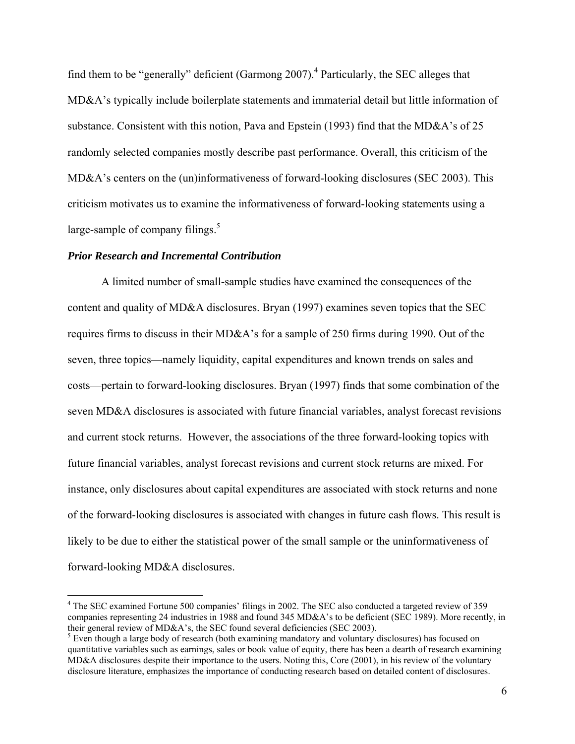find them to be "generally" deficient (Garmong 2007).<sup>4</sup> Particularly, the SEC alleges that MD&A's typically include boilerplate statements and immaterial detail but little information of substance. Consistent with this notion, Pava and Epstein (1993) find that the MD&A's of 25 randomly selected companies mostly describe past performance. Overall, this criticism of the MD&A's centers on the (un)informativeness of forward-looking disclosures (SEC 2003). This criticism motivates us to examine the informativeness of forward-looking statements using a large-sample of company filings. $5$ 

#### *Prior Research and Incremental Contribution*

 $\overline{a}$ 

A limited number of small-sample studies have examined the consequences of the content and quality of MD&A disclosures. Bryan (1997) examines seven topics that the SEC requires firms to discuss in their MD&A's for a sample of 250 firms during 1990. Out of the seven, three topics—namely liquidity, capital expenditures and known trends on sales and costs—pertain to forward-looking disclosures. Bryan (1997) finds that some combination of the seven MD&A disclosures is associated with future financial variables, analyst forecast revisions and current stock returns. However, the associations of the three forward-looking topics with future financial variables, analyst forecast revisions and current stock returns are mixed. For instance, only disclosures about capital expenditures are associated with stock returns and none of the forward-looking disclosures is associated with changes in future cash flows. This result is likely to be due to either the statistical power of the small sample or the uninformativeness of forward-looking MD&A disclosures.

<sup>&</sup>lt;sup>4</sup> The SEC examined Fortune 500 companies' filings in 2002. The SEC also conducted a targeted review of 359 companies representing 24 industries in 1988 and found 345 MD&A's to be deficient (SEC 1989). More recently, in their general review of MD&A's, the SEC found several deficiencies (SEC 2003).

 $<sup>5</sup>$  Even though a large body of research (both examining mandatory and voluntary disclosures) has focused on</sup> quantitative variables such as earnings, sales or book value of equity, there has been a dearth of research examining MD&A disclosures despite their importance to the users. Noting this, Core (2001), in his review of the voluntary disclosure literature, emphasizes the importance of conducting research based on detailed content of disclosures.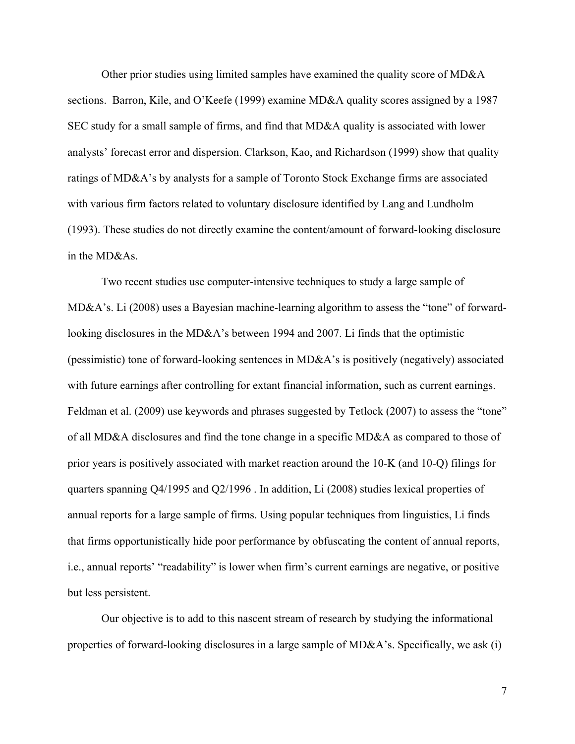Other prior studies using limited samples have examined the quality score of MD&A sections. Barron, Kile, and O'Keefe (1999) examine MD&A quality scores assigned by a 1987 SEC study for a small sample of firms, and find that MD&A quality is associated with lower analysts' forecast error and dispersion. Clarkson, Kao, and Richardson (1999) show that quality ratings of MD&A's by analysts for a sample of Toronto Stock Exchange firms are associated with various firm factors related to voluntary disclosure identified by Lang and Lundholm (1993). These studies do not directly examine the content/amount of forward-looking disclosure in the MD&As.

Two recent studies use computer-intensive techniques to study a large sample of MD&A's. Li (2008) uses a Bayesian machine-learning algorithm to assess the "tone" of forwardlooking disclosures in the MD&A's between 1994 and 2007. Li finds that the optimistic (pessimistic) tone of forward-looking sentences in MD&A's is positively (negatively) associated with future earnings after controlling for extant financial information, such as current earnings. Feldman et al. (2009) use keywords and phrases suggested by Tetlock (2007) to assess the "tone" of all MD&A disclosures and find the tone change in a specific MD&A as compared to those of prior years is positively associated with market reaction around the 10-K (and 10-Q) filings for quarters spanning Q4/1995 and Q2/1996 . In addition, Li (2008) studies lexical properties of annual reports for a large sample of firms. Using popular techniques from linguistics, Li finds that firms opportunistically hide poor performance by obfuscating the content of annual reports, i.e., annual reports' "readability" is lower when firm's current earnings are negative, or positive but less persistent.

Our objective is to add to this nascent stream of research by studying the informational properties of forward-looking disclosures in a large sample of MD&A's. Specifically, we ask (i)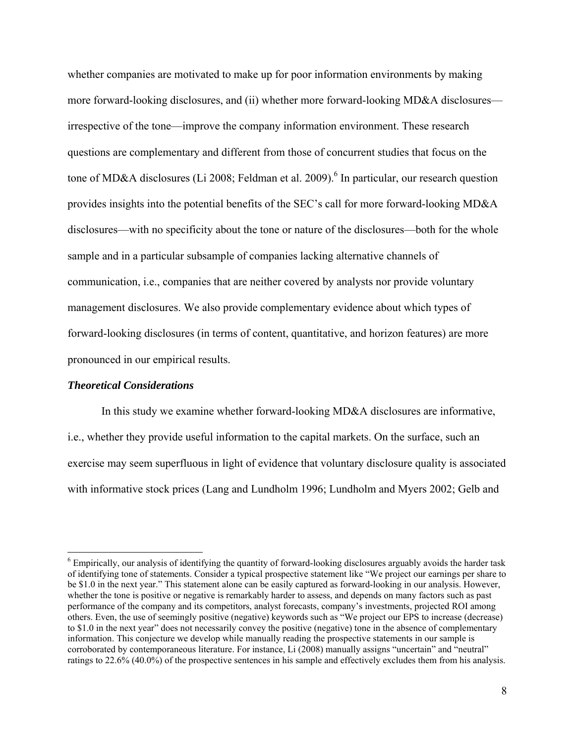whether companies are motivated to make up for poor information environments by making more forward-looking disclosures, and (ii) whether more forward-looking MD&A disclosures irrespective of the tone—improve the company information environment. These research questions are complementary and different from those of concurrent studies that focus on the tone of MD&A disclosures (Li 2008; Feldman et al. 2009).<sup>6</sup> In particular, our research question provides insights into the potential benefits of the SEC's call for more forward-looking MD&A disclosures—with no specificity about the tone or nature of the disclosures—both for the whole sample and in a particular subsample of companies lacking alternative channels of communication, i.e., companies that are neither covered by analysts nor provide voluntary management disclosures. We also provide complementary evidence about which types of forward-looking disclosures (in terms of content, quantitative, and horizon features) are more pronounced in our empirical results.

### *Theoretical Considerations*

 $\overline{a}$ 

In this study we examine whether forward-looking MD&A disclosures are informative, i.e., whether they provide useful information to the capital markets. On the surface, such an exercise may seem superfluous in light of evidence that voluntary disclosure quality is associated with informative stock prices (Lang and Lundholm 1996; Lundholm and Myers 2002; Gelb and

<sup>&</sup>lt;sup>6</sup> Empirically, our analysis of identifying the quantity of forward-looking disclosures arguably avoids the harder task of identifying tone of statements. Consider a typical prospective statement like "We project our earnings per share to be \$1.0 in the next year." This statement alone can be easily captured as forward-looking in our analysis. However, whether the tone is positive or negative is remarkably harder to assess, and depends on many factors such as past performance of the company and its competitors, analyst forecasts, company's investments, projected ROI among others. Even, the use of seemingly positive (negative) keywords such as "We project our EPS to increase (decrease) to \$1.0 in the next year" does not necessarily convey the positive (negative) tone in the absence of complementary information. This conjecture we develop while manually reading the prospective statements in our sample is corroborated by contemporaneous literature. For instance, Li (2008) manually assigns "uncertain" and "neutral" ratings to 22.6% (40.0%) of the prospective sentences in his sample and effectively excludes them from his analysis.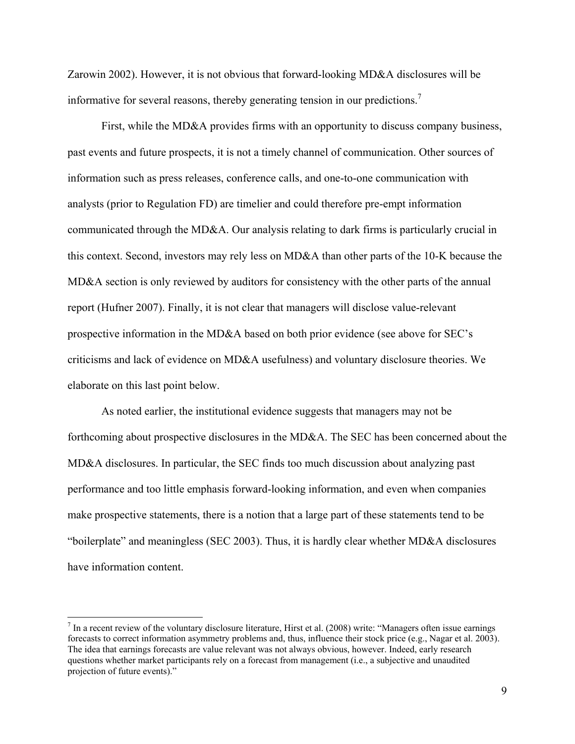Zarowin 2002). However, it is not obvious that forward-looking MD&A disclosures will be informative for several reasons, thereby generating tension in our predictions.<sup>7</sup>

First, while the MD&A provides firms with an opportunity to discuss company business, past events and future prospects, it is not a timely channel of communication. Other sources of information such as press releases, conference calls, and one-to-one communication with analysts (prior to Regulation FD) are timelier and could therefore pre-empt information communicated through the MD&A. Our analysis relating to dark firms is particularly crucial in this context. Second, investors may rely less on MD&A than other parts of the 10-K because the MD&A section is only reviewed by auditors for consistency with the other parts of the annual report (Hufner 2007). Finally, it is not clear that managers will disclose value-relevant prospective information in the MD&A based on both prior evidence (see above for SEC's criticisms and lack of evidence on MD&A usefulness) and voluntary disclosure theories. We elaborate on this last point below.

As noted earlier, the institutional evidence suggests that managers may not be forthcoming about prospective disclosures in the MD&A. The SEC has been concerned about the MD&A disclosures. In particular, the SEC finds too much discussion about analyzing past performance and too little emphasis forward-looking information, and even when companies make prospective statements, there is a notion that a large part of these statements tend to be "boilerplate" and meaningless (SEC 2003). Thus, it is hardly clear whether MD&A disclosures have information content.

 $\overline{a}$ 

 $<sup>7</sup>$  In a recent review of the voluntary disclosure literature, Hirst et al. (2008) write: "Managers often issue earnings</sup> forecasts to correct information asymmetry problems and, thus, influence their stock price (e.g., Nagar et al. 2003). The idea that earnings forecasts are value relevant was not always obvious, however. Indeed, early research questions whether market participants rely on a forecast from management (i.e., a subjective and unaudited projection of future events)."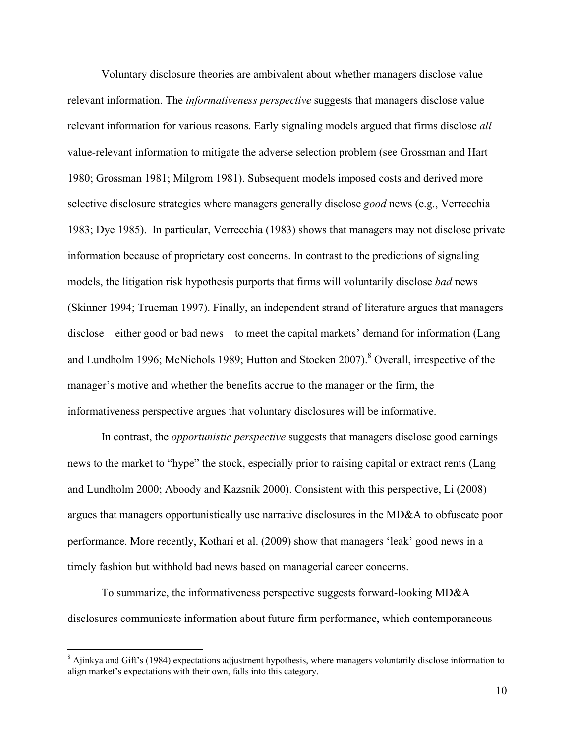Voluntary disclosure theories are ambivalent about whether managers disclose value relevant information. The *informativeness perspective* suggests that managers disclose value relevant information for various reasons. Early signaling models argued that firms disclose *all*  value-relevant information to mitigate the adverse selection problem (see Grossman and Hart 1980; Grossman 1981; Milgrom 1981). Subsequent models imposed costs and derived more selective disclosure strategies where managers generally disclose *good* news (e.g., Verrecchia 1983; Dye 1985). In particular, Verrecchia (1983) shows that managers may not disclose private information because of proprietary cost concerns. In contrast to the predictions of signaling models, the litigation risk hypothesis purports that firms will voluntarily disclose *bad* news (Skinner 1994; Trueman 1997). Finally, an independent strand of literature argues that managers disclose—either good or bad news—to meet the capital markets' demand for information (Lang and Lundholm 1996; McNichols 1989; Hutton and Stocken 2007).<sup>8</sup> Overall, irrespective of the manager's motive and whether the benefits accrue to the manager or the firm, the informativeness perspective argues that voluntary disclosures will be informative.

In contrast, the *opportunistic perspective* suggests that managers disclose good earnings news to the market to "hype" the stock, especially prior to raising capital or extract rents (Lang and Lundholm 2000; Aboody and Kazsnik 2000). Consistent with this perspective, Li (2008) argues that managers opportunistically use narrative disclosures in the MD&A to obfuscate poor performance. More recently, Kothari et al. (2009) show that managers 'leak' good news in a timely fashion but withhold bad news based on managerial career concerns.

To summarize, the informativeness perspective suggests forward-looking MD&A disclosures communicate information about future firm performance, which contemporaneous

 $\overline{a}$ 

<sup>&</sup>lt;sup>8</sup> Ajinkya and Gift's (1984) expectations adjustment hypothesis, where managers voluntarily disclose information to align market's expectations with their own, falls into this category.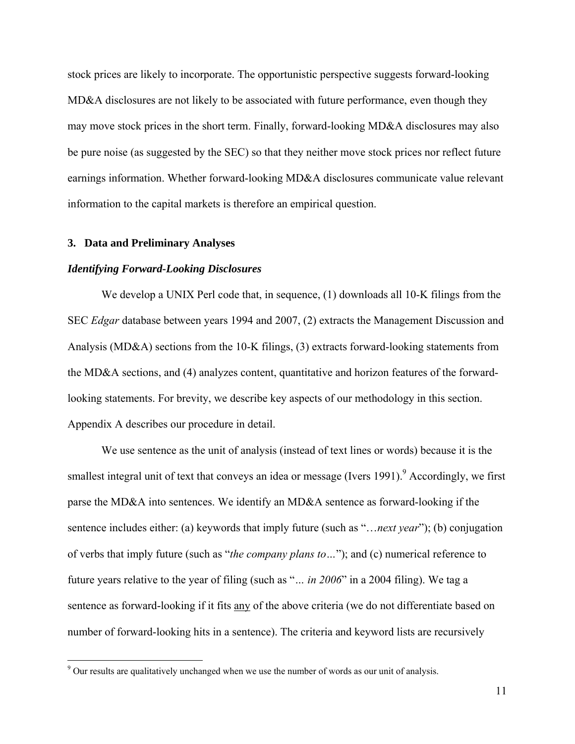stock prices are likely to incorporate. The opportunistic perspective suggests forward-looking MD&A disclosures are not likely to be associated with future performance, even though they may move stock prices in the short term. Finally, forward-looking MD&A disclosures may also be pure noise (as suggested by the SEC) so that they neither move stock prices nor reflect future earnings information. Whether forward-looking MD&A disclosures communicate value relevant information to the capital markets is therefore an empirical question.

### **3. Data and Preliminary Analyses**

 $\overline{a}$ 

## *Identifying Forward-Looking Disclosures*

We develop a UNIX Perl code that, in sequence, (1) downloads all 10-K filings from the SEC *Edgar* database between years 1994 and 2007, (2) extracts the Management Discussion and Analysis (MD&A) sections from the 10-K filings, (3) extracts forward-looking statements from the MD&A sections, and (4) analyzes content, quantitative and horizon features of the forwardlooking statements. For brevity, we describe key aspects of our methodology in this section. Appendix A describes our procedure in detail.

We use sentence as the unit of analysis (instead of text lines or words) because it is the smallest integral unit of text that conveys an idea or message (Ivers 1991). Accordingly, we first parse the MD&A into sentences. We identify an MD&A sentence as forward-looking if the sentence includes either: (a) keywords that imply future (such as "…*next year*"); (b) conjugation of verbs that imply future (such as "*the company plans to…*"); and (c) numerical reference to future years relative to the year of filing (such as "*… in 2006*" in a 2004 filing). We tag a sentence as forward-looking if it fits any of the above criteria (we do not differentiate based on number of forward-looking hits in a sentence). The criteria and keyword lists are recursively

 $9^9$  Our results are qualitatively unchanged when we use the number of words as our unit of analysis.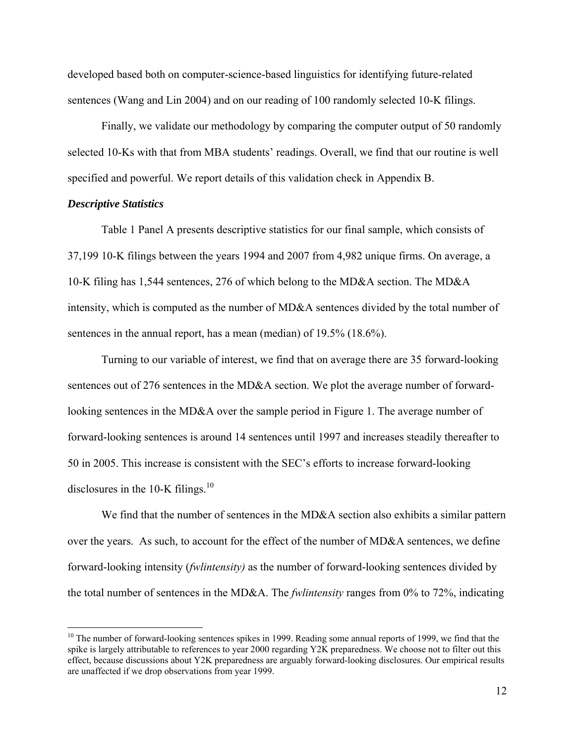developed based both on computer-science-based linguistics for identifying future-related sentences (Wang and Lin 2004) and on our reading of 100 randomly selected 10-K filings.

Finally, we validate our methodology by comparing the computer output of 50 randomly selected 10-Ks with that from MBA students' readings. Overall, we find that our routine is well specified and powerful. We report details of this validation check in Appendix B.

### *Descriptive Statistics*

 $\overline{a}$ 

Table 1 Panel A presents descriptive statistics for our final sample, which consists of 37,199 10-K filings between the years 1994 and 2007 from 4,982 unique firms. On average, a 10-K filing has 1,544 sentences, 276 of which belong to the MD&A section. The MD&A intensity, which is computed as the number of MD&A sentences divided by the total number of sentences in the annual report, has a mean (median) of 19.5% (18.6%).

Turning to our variable of interest, we find that on average there are 35 forward-looking sentences out of 276 sentences in the MD&A section. We plot the average number of forwardlooking sentences in the MD&A over the sample period in Figure 1. The average number of forward-looking sentences is around 14 sentences until 1997 and increases steadily thereafter to 50 in 2005. This increase is consistent with the SEC's efforts to increase forward-looking disclosures in the 10-K filings. $10$ 

We find that the number of sentences in the MD&A section also exhibits a similar pattern over the years. As such, to account for the effect of the number of MD&A sentences, we define forward-looking intensity (*fwlintensity)* as the number of forward-looking sentences divided by the total number of sentences in the MD&A. The *fwlintensity* ranges from 0% to 72%, indicating

 $10$  The number of forward-looking sentences spikes in 1999. Reading some annual reports of 1999, we find that the spike is largely attributable to references to year 2000 regarding Y2K preparedness. We choose not to filter out this effect, because discussions about Y2K preparedness are arguably forward-looking disclosures. Our empirical results are unaffected if we drop observations from year 1999.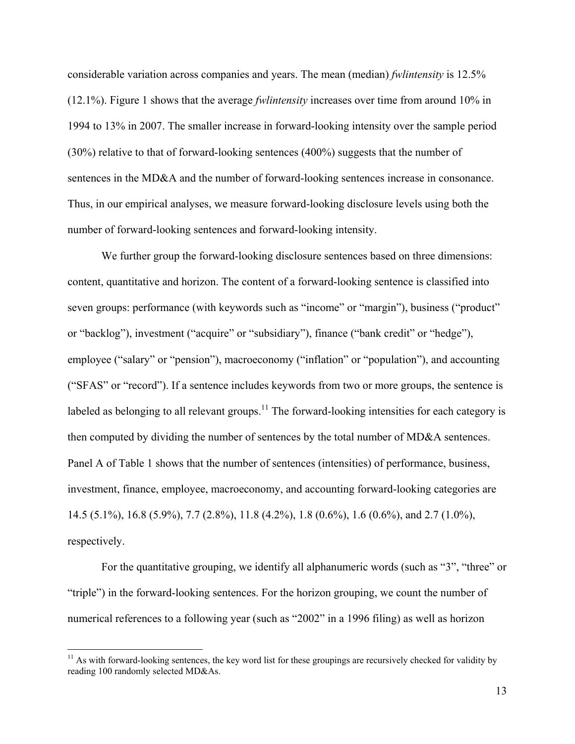considerable variation across companies and years. The mean (median) *fwlintensity* is 12.5% (12.1%). Figure 1 shows that the average *fwlintensity* increases over time from around 10% in 1994 to 13% in 2007. The smaller increase in forward-looking intensity over the sample period (30%) relative to that of forward-looking sentences (400%) suggests that the number of sentences in the MD&A and the number of forward-looking sentences increase in consonance. Thus, in our empirical analyses, we measure forward-looking disclosure levels using both the number of forward-looking sentences and forward-looking intensity.

We further group the forward-looking disclosure sentences based on three dimensions: content, quantitative and horizon. The content of a forward-looking sentence is classified into seven groups: performance (with keywords such as "income" or "margin"), business ("product" or "backlog"), investment ("acquire" or "subsidiary"), finance ("bank credit" or "hedge"), employee ("salary" or "pension"), macroeconomy ("inflation" or "population"), and accounting ("SFAS" or "record"). If a sentence includes keywords from two or more groups, the sentence is labeled as belonging to all relevant groups.<sup>11</sup> The forward-looking intensities for each category is then computed by dividing the number of sentences by the total number of MD&A sentences. Panel A of Table 1 shows that the number of sentences (intensities) of performance, business, investment, finance, employee, macroeconomy, and accounting forward-looking categories are 14.5 (5.1%), 16.8 (5.9%), 7.7 (2.8%), 11.8 (4.2%), 1.8 (0.6%), 1.6 (0.6%), and 2.7 (1.0%), respectively.

For the quantitative grouping, we identify all alphanumeric words (such as "3", "three" or "triple") in the forward-looking sentences. For the horizon grouping, we count the number of numerical references to a following year (such as "2002" in a 1996 filing) as well as horizon

 $\overline{a}$ 

 $11$  As with forward-looking sentences, the key word list for these groupings are recursively checked for validity by reading 100 randomly selected MD&As.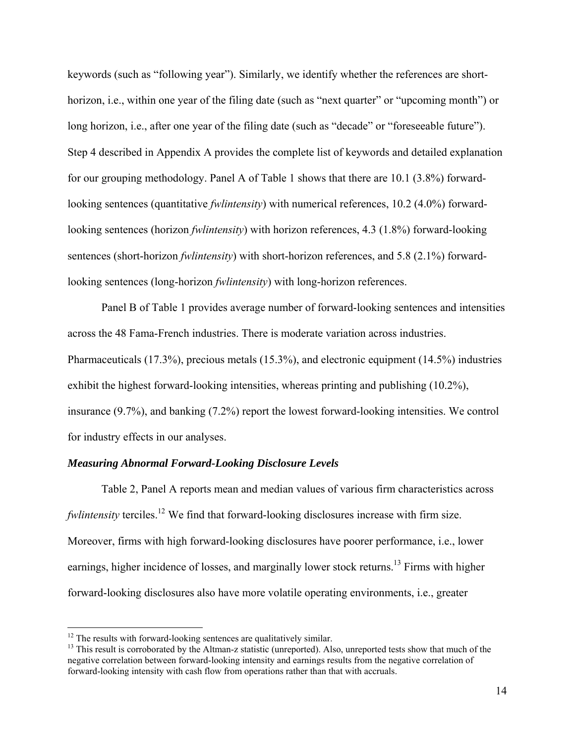keywords (such as "following year"). Similarly, we identify whether the references are shorthorizon, i.e., within one year of the filing date (such as "next quarter" or "upcoming month") or long horizon, i.e., after one year of the filing date (such as "decade" or "foreseeable future"). Step 4 described in Appendix A provides the complete list of keywords and detailed explanation for our grouping methodology. Panel A of Table 1 shows that there are 10.1 (3.8%) forwardlooking sentences (quantitative *fwlintensity*) with numerical references, 10.2 (4.0%) forwardlooking sentences (horizon *fwlintensity*) with horizon references, 4.3 (1.8%) forward-looking sentences (short-horizon *fwlintensity*) with short-horizon references, and 5.8 (2.1%) forwardlooking sentences (long-horizon *fwlintensity*) with long-horizon references.

Panel B of Table 1 provides average number of forward-looking sentences and intensities across the 48 Fama-French industries. There is moderate variation across industries. Pharmaceuticals (17.3%), precious metals (15.3%), and electronic equipment (14.5%) industries exhibit the highest forward-looking intensities, whereas printing and publishing (10.2%), insurance (9.7%), and banking (7.2%) report the lowest forward-looking intensities. We control for industry effects in our analyses.

## *Measuring Abnormal Forward-Looking Disclosure Levels*

Table 2, Panel A reports mean and median values of various firm characteristics across *fwlintensity* terciles.<sup>12</sup> We find that forward-looking disclosures increase with firm size. Moreover, firms with high forward-looking disclosures have poorer performance, i.e., lower earnings, higher incidence of losses, and marginally lower stock returns.<sup>13</sup> Firms with higher forward-looking disclosures also have more volatile operating environments, i.e., greater

 $12$  The results with forward-looking sentences are qualitatively similar.

<sup>&</sup>lt;sup>13</sup> This result is corroborated by the Altman-z statistic (unreported). Also, unreported tests show that much of the negative correlation between forward-looking intensity and earnings results from the negative correlation of forward-looking intensity with cash flow from operations rather than that with accruals.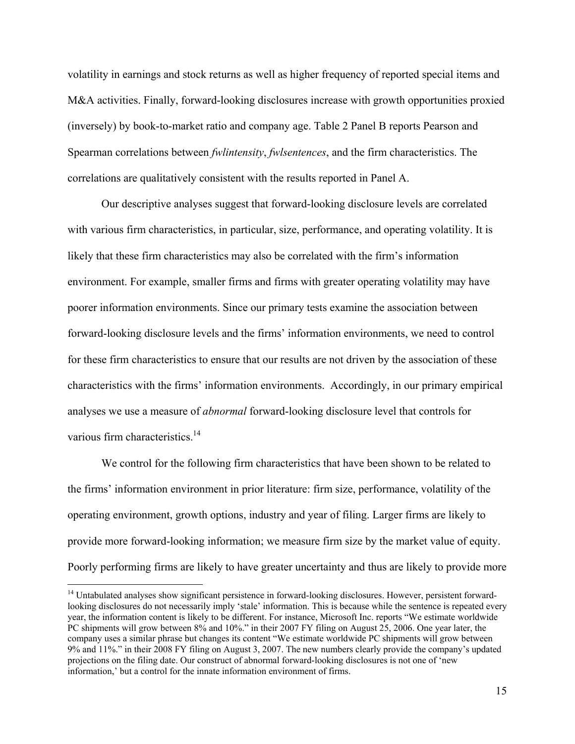volatility in earnings and stock returns as well as higher frequency of reported special items and M&A activities. Finally, forward-looking disclosures increase with growth opportunities proxied (inversely) by book-to-market ratio and company age. Table 2 Panel B reports Pearson and Spearman correlations between *fwlintensity*, *fwlsentences*, and the firm characteristics. The correlations are qualitatively consistent with the results reported in Panel A.

Our descriptive analyses suggest that forward-looking disclosure levels are correlated with various firm characteristics, in particular, size, performance, and operating volatility. It is likely that these firm characteristics may also be correlated with the firm's information environment. For example, smaller firms and firms with greater operating volatility may have poorer information environments. Since our primary tests examine the association between forward-looking disclosure levels and the firms' information environments, we need to control for these firm characteristics to ensure that our results are not driven by the association of these characteristics with the firms' information environments. Accordingly, in our primary empirical analyses we use a measure of *abnormal* forward-looking disclosure level that controls for various firm characteristics.<sup>14</sup>

We control for the following firm characteristics that have been shown to be related to the firms' information environment in prior literature: firm size, performance, volatility of the operating environment, growth options, industry and year of filing. Larger firms are likely to provide more forward-looking information; we measure firm size by the market value of equity. Poorly performing firms are likely to have greater uncertainty and thus are likely to provide more

 $\overline{a}$ 

<sup>&</sup>lt;sup>14</sup> Untabulated analyses show significant persistence in forward-looking disclosures. However, persistent forwardlooking disclosures do not necessarily imply 'stale' information. This is because while the sentence is repeated every year, the information content is likely to be different. For instance, Microsoft Inc. reports "We estimate worldwide PC shipments will grow between 8% and 10%." in their 2007 FY filing on August 25, 2006. One year later, the company uses a similar phrase but changes its content "We estimate worldwide PC shipments will grow between 9% and 11%." in their 2008 FY filing on August 3, 2007. The new numbers clearly provide the company's updated projections on the filing date. Our construct of abnormal forward-looking disclosures is not one of 'new information,' but a control for the innate information environment of firms.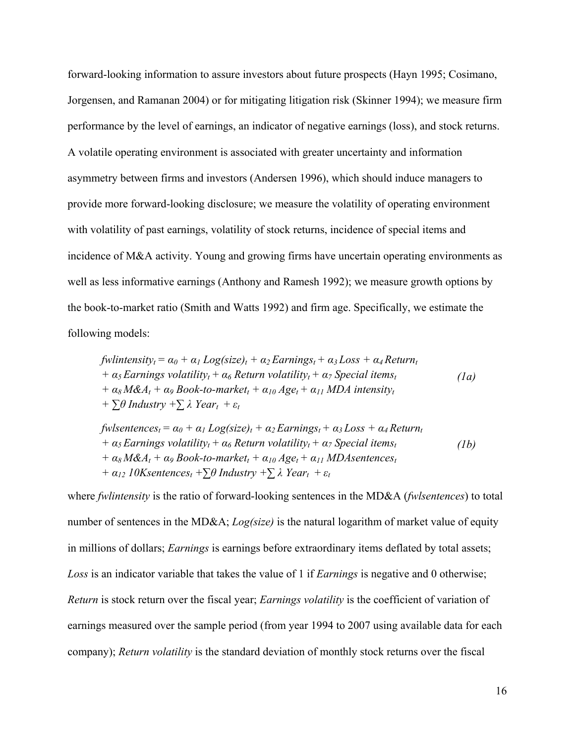forward-looking information to assure investors about future prospects (Hayn 1995; Cosimano, Jorgensen, and Ramanan 2004) or for mitigating litigation risk (Skinner 1994); we measure firm performance by the level of earnings, an indicator of negative earnings (loss), and stock returns. A volatile operating environment is associated with greater uncertainty and information asymmetry between firms and investors (Andersen 1996), which should induce managers to provide more forward-looking disclosure; we measure the volatility of operating environment with volatility of past earnings, volatility of stock returns, incidence of special items and incidence of M&A activity. Young and growing firms have uncertain operating environments as well as less informative earnings (Anthony and Ramesh 1992); we measure growth options by the book-to-market ratio (Smith and Watts 1992) and firm age. Specifically, we estimate the following models:

fwlintensity<sub>t</sub> = 
$$
\alpha_0 + \alpha_1 Log(size)_t + \alpha_2 Earnings_t + \alpha_3 Loss + \alpha_4 Return_t
$$
  
+  $\alpha_5 Earnings volatility_t + \alpha_6 Return volatility_t + \alpha_7 Special items_t$   
+  $\alpha_8 M \& A_t + \alpha_9 Book-to-market_t + \alpha_{10} Age_t + \alpha_{11} MDA intensity_t$   
+  $\sum \theta$  Industry +  $\sum \lambda$  Year<sub>t</sub> +  $\varepsilon_t$ 

 $fw$ *lsentences<sub>t</sub>* =  $\alpha_0 + \alpha_1 Log(size)_{t} + \alpha_2 Earnings_{t} + \alpha_3 Loss + \alpha_4 Return_t$ *+*  $\alpha_5$  *Earnings volatility<sub>t</sub></sub> +*  $\alpha_6$  *<i>Return volatility<sub>t</sub></sub> +*  $\alpha_7$  *<i>Special items<sub>t</sub> + α8 M&At + α9 Book-to-markett + α10 Aget + α11 MDAsentencest*   $+ \alpha_{12}$  10Ksentences<sub>t</sub> + $\sum \theta$  Industry + $\sum \lambda$  Year<sub>t</sub> +  $\varepsilon_t$ *(1b)* 

where *fwlintensity* is the ratio of forward-looking sentences in the MD&A (*fwlsentences*) to total number of sentences in the MD&A; *Log(size)* is the natural logarithm of market value of equity in millions of dollars; *Earnings* is earnings before extraordinary items deflated by total assets; *Loss* is an indicator variable that takes the value of 1 if *Earnings* is negative and 0 otherwise; *Return* is stock return over the fiscal year; *Earnings volatility* is the coefficient of variation of earnings measured over the sample period (from year 1994 to 2007 using available data for each company); *Return volatility* is the standard deviation of monthly stock returns over the fiscal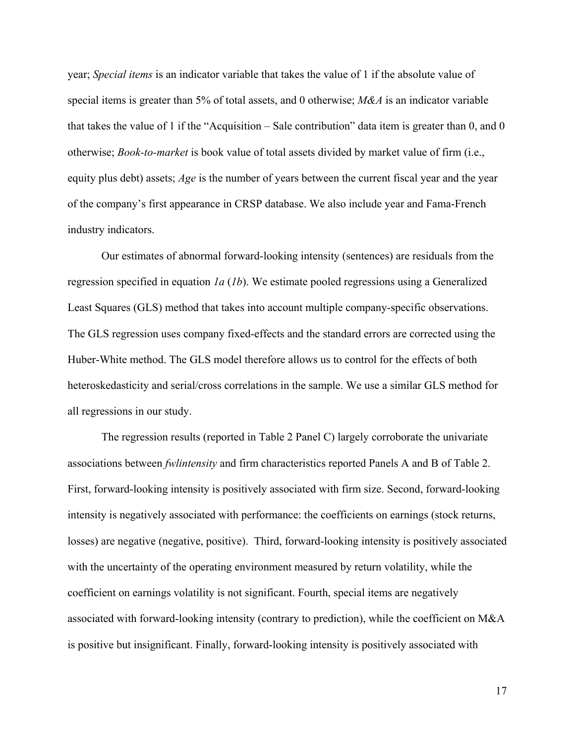year; *Special items* is an indicator variable that takes the value of 1 if the absolute value of special items is greater than 5% of total assets, and 0 otherwise; *M&A* is an indicator variable that takes the value of 1 if the "Acquisition – Sale contribution" data item is greater than 0, and 0 otherwise; *Book-to-market* is book value of total assets divided by market value of firm (i.e., equity plus debt) assets; *Age* is the number of years between the current fiscal year and the year of the company's first appearance in CRSP database. We also include year and Fama-French industry indicators.

Our estimates of abnormal forward-looking intensity (sentences) are residuals from the regression specified in equation *1a* (*1b*). We estimate pooled regressions using a Generalized Least Squares (GLS) method that takes into account multiple company-specific observations. The GLS regression uses company fixed-effects and the standard errors are corrected using the Huber-White method. The GLS model therefore allows us to control for the effects of both heteroskedasticity and serial/cross correlations in the sample. We use a similar GLS method for all regressions in our study.

The regression results (reported in Table 2 Panel C) largely corroborate the univariate associations between *fwlintensity* and firm characteristics reported Panels A and B of Table 2. First, forward-looking intensity is positively associated with firm size. Second, forward-looking intensity is negatively associated with performance: the coefficients on earnings (stock returns, losses) are negative (negative, positive). Third, forward-looking intensity is positively associated with the uncertainty of the operating environment measured by return volatility, while the coefficient on earnings volatility is not significant. Fourth, special items are negatively associated with forward-looking intensity (contrary to prediction), while the coefficient on M&A is positive but insignificant. Finally, forward-looking intensity is positively associated with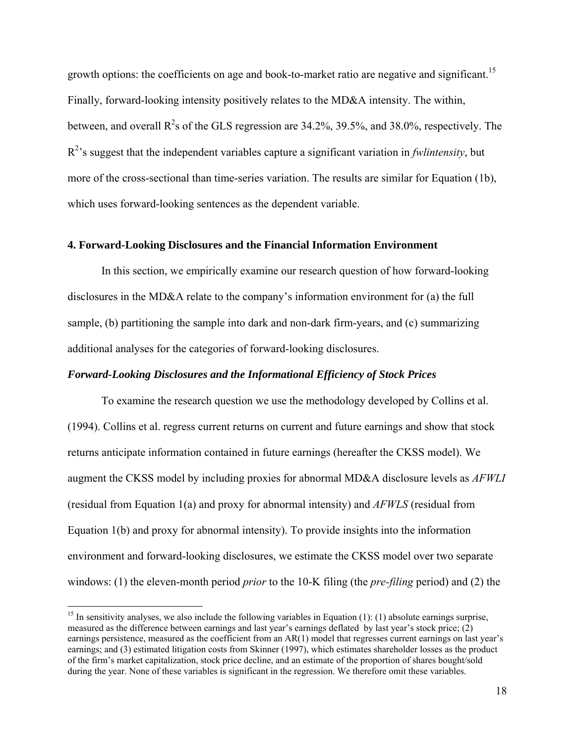growth options: the coefficients on age and book-to-market ratio are negative and significant.<sup>15</sup> Finally, forward-looking intensity positively relates to the MD&A intensity. The within, between, and overall  $R^2$ s of the GLS regression are 34.2%, 39.5%, and 38.0%, respectively. The  $R<sup>2</sup>$ 's suggest that the independent variables capture a significant variation in *fwlintensity*, but more of the cross-sectional than time-series variation. The results are similar for Equation (1b), which uses forward-looking sentences as the dependent variable.

## **4. Forward-Looking Disclosures and the Financial Information Environment**

 In this section, we empirically examine our research question of how forward-looking disclosures in the MD&A relate to the company's information environment for (a) the full sample, (b) partitioning the sample into dark and non-dark firm-years, and (c) summarizing additional analyses for the categories of forward-looking disclosures.

### *Forward-Looking Disclosures and the Informational Efficiency of Stock Prices*

To examine the research question we use the methodology developed by Collins et al. (1994). Collins et al. regress current returns on current and future earnings and show that stock returns anticipate information contained in future earnings (hereafter the CKSS model). We augment the CKSS model by including proxies for abnormal MD&A disclosure levels as *AFWLI* (residual from Equation 1(a) and proxy for abnormal intensity) and *AFWLS* (residual from Equation 1(b) and proxy for abnormal intensity). To provide insights into the information environment and forward-looking disclosures, we estimate the CKSS model over two separate windows: (1) the eleven-month period *prior* to the 10-K filing (the *pre-filing* period) and (2) the

 $\overline{a}$ 

<sup>&</sup>lt;sup>15</sup> In sensitivity analyses, we also include the following variables in Equation (1): (1) absolute earnings surprise, measured as the difference between earnings and last year's earnings deflated by last year's stock price; (2) earnings persistence, measured as the coefficient from an AR(1) model that regresses current earnings on last year's earnings; and (3) estimated litigation costs from Skinner (1997), which estimates shareholder losses as the product of the firm's market capitalization, stock price decline, and an estimate of the proportion of shares bought/sold during the year. None of these variables is significant in the regression. We therefore omit these variables.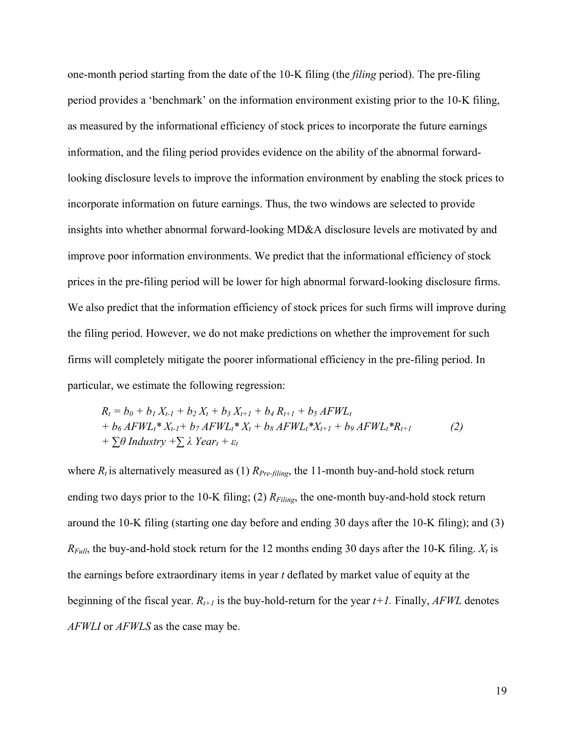one-month period starting from the date of the 10-K filing (the *filing* period). The pre-filing period provides a 'benchmark' on the information environment existing prior to the 10-K filing, as measured by the informational efficiency of stock prices to incorporate the future earnings information, and the filing period provides evidence on the ability of the abnormal forwardlooking disclosure levels to improve the information environment by enabling the stock prices to incorporate information on future earnings. Thus, the two windows are selected to provide insights into whether abnormal forward-looking MD&A disclosure levels are motivated by and improve poor information environments. We predict that the informational efficiency of stock prices in the pre-filing period will be lower for high abnormal forward-looking disclosure firms. We also predict that the information efficiency of stock prices for such firms will improve during the filing period. However, we do not make predictions on whether the improvement for such firms will completely mitigate the poorer informational efficiency in the pre-filing period. In particular, we estimate the following regression:

$$
R_{t} = b_{0} + b_{1} X_{t-1} + b_{2} X_{t} + b_{3} X_{t+1} + b_{4} R_{t+1} + b_{5} AFWL_{t}
$$
  
+  $b_{6} AFWL_{t}^{*} X_{t-1} + b_{7} AFWL_{t}^{*} X_{t} + b_{8} AFWL_{t}^{*} X_{t+1} + b_{9} AFWL_{t}^{*} R_{t+1}$  (2)  
+  $\sum \theta$  Industry +  $\sum \lambda$  Year<sub>t</sub> +  $\varepsilon_{t}$ 

where  $R_t$  is alternatively measured as (1)  $R_{Pre-filing}$ , the 11-month buy-and-hold stock return ending two days prior to the 10-K filing; (2)  $R_{Filing}$ , the one-month buy-and-hold stock return around the 10-K filing (starting one day before and ending 30 days after the 10-K filing); and (3)  $R_{Full}$ , the buy-and-hold stock return for the 12 months ending 30 days after the 10-K filing.  $X_t$  is the earnings before extraordinary items in year *t* deflated by market value of equity at the beginning of the fiscal year. *Rt+1* is the buy-hold-return for the year *t+1.* Finally, *AFWL* denotes *AFWLI* or *AFWLS* as the case may be.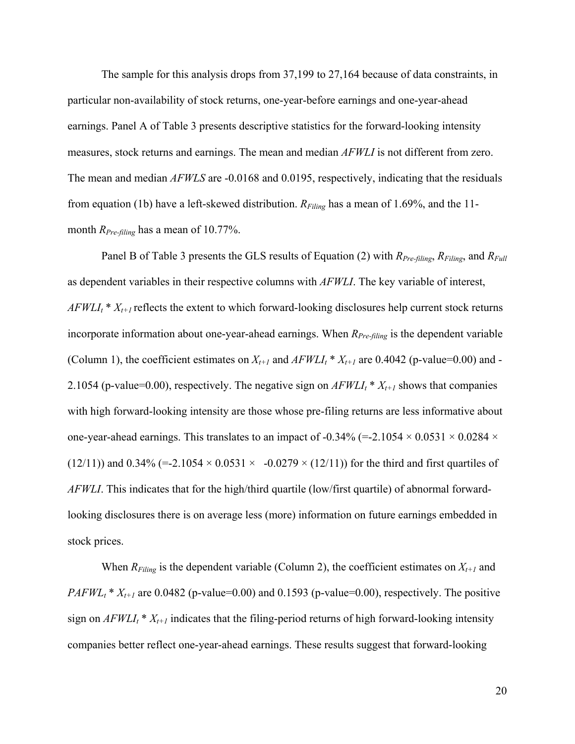The sample for this analysis drops from 37,199 to 27,164 because of data constraints, in particular non-availability of stock returns, one-year-before earnings and one-year-ahead earnings. Panel A of Table 3 presents descriptive statistics for the forward-looking intensity measures, stock returns and earnings. The mean and median *AFWLI* is not different from zero. The mean and median *AFWLS* are -0.0168 and 0.0195, respectively, indicating that the residuals from equation (1b) have a left-skewed distribution. *RFiling* has a mean of 1.69%, and the 11 month *R<sub>Pre-filing</sub>* has a mean of 10.77%.

Panel B of Table 3 presents the GLS results of Equation (2) with *RPre-filing*, *RFiling*, and *RFull* as dependent variables in their respective columns with *AFWLI*. The key variable of interest,  $AFWLI_t * X_{t+1}$  reflects the extent to which forward-looking disclosures help current stock returns incorporate information about one-year-ahead earnings. When *R<sub>Pre-filing</sub>* is the dependent variable (Column 1), the coefficient estimates on  $X_{t+1}$  and  $AFWLI_t * X_{t+1}$  are 0.4042 (p-value=0.00) and -2.1054 (p-value=0.00), respectively. The negative sign on  $AFWLI_t * X_{t+1}$  shows that companies with high forward-looking intensity are those whose pre-filing returns are less informative about one-year-ahead earnings. This translates to an impact of -0.34% (=-2.1054  $\times$  0.0531  $\times$  0.0284  $\times$ (12/11)) and 0.34% (=-2.1054  $\times$  0.0531  $\times$  -0.0279  $\times$  (12/11)) for the third and first quartiles of *AFWLI*. This indicates that for the high/third quartile (low/first quartile) of abnormal forwardlooking disclosures there is on average less (more) information on future earnings embedded in stock prices.

When  $R_{Filing}$  is the dependent variable (Column 2), the coefficient estimates on  $X_{t+1}$  and *PAFWL<sub>t</sub>* \*  $X_{t+1}$  are 0.0482 (p-value=0.00) and 0.1593 (p-value=0.00), respectively. The positive sign on  $AFWLI_t * X_{t+1}$  indicates that the filing-period returns of high forward-looking intensity companies better reflect one-year-ahead earnings. These results suggest that forward-looking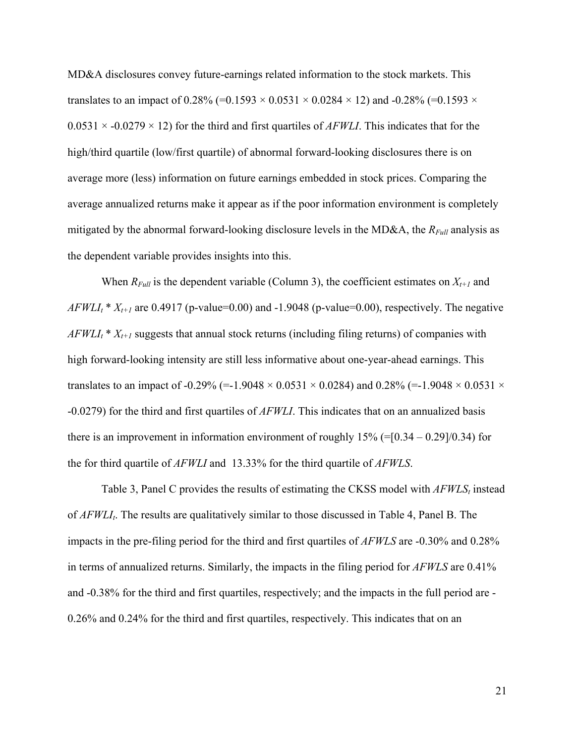MD&A disclosures convey future-earnings related information to the stock markets. This translates to an impact of 0.28% (=0.1593  $\times$  0.0531  $\times$  0.0284  $\times$  12) and -0.28% (=0.1593  $\times$  $0.0531 \times -0.0279 \times 12$ ) for the third and first quartiles of *AFWLI*. This indicates that for the high/third quartile (low/first quartile) of abnormal forward-looking disclosures there is on average more (less) information on future earnings embedded in stock prices. Comparing the average annualized returns make it appear as if the poor information environment is completely mitigated by the abnormal forward-looking disclosure levels in the MD&A, the *RFull* analysis as the dependent variable provides insights into this.

When  $R_{Full}$  is the dependent variable (Column 3), the coefficient estimates on  $X_{t+1}$  and  $AFWLI<sub>t</sub> * X<sub>t+1</sub>$  are 0.4917 (p-value=0.00) and -1.9048 (p-value=0.00), respectively. The negative  $AFWLI<sub>t</sub> * X<sub>t+1</sub>$  suggests that annual stock returns (including filing returns) of companies with high forward-looking intensity are still less informative about one-year-ahead earnings. This translates to an impact of -0.29% (=-1.9048  $\times$  0.0531  $\times$  0.0284) and 0.28% (=-1.9048  $\times$  0.0531  $\times$ -0.0279) for the third and first quartiles of *AFWLI*. This indicates that on an annualized basis there is an improvement in information environment of roughly  $15\%$  (=[0.34 – 0.29]/0.34) for the for third quartile of *AFWLI* and 13.33% for the third quartile of *AFWLS*.

Table 3, Panel C provides the results of estimating the CKSS model with *AFWLS*<sub>t</sub> instead of *AFWLI<sub>t</sub>*. The results are qualitatively similar to those discussed in Table 4, Panel B. The impacts in the pre-filing period for the third and first quartiles of *AFWLS* are -0.30% and 0.28% in terms of annualized returns. Similarly, the impacts in the filing period for *AFWLS* are 0.41% and -0.38% for the third and first quartiles, respectively; and the impacts in the full period are - 0.26% and 0.24% for the third and first quartiles, respectively. This indicates that on an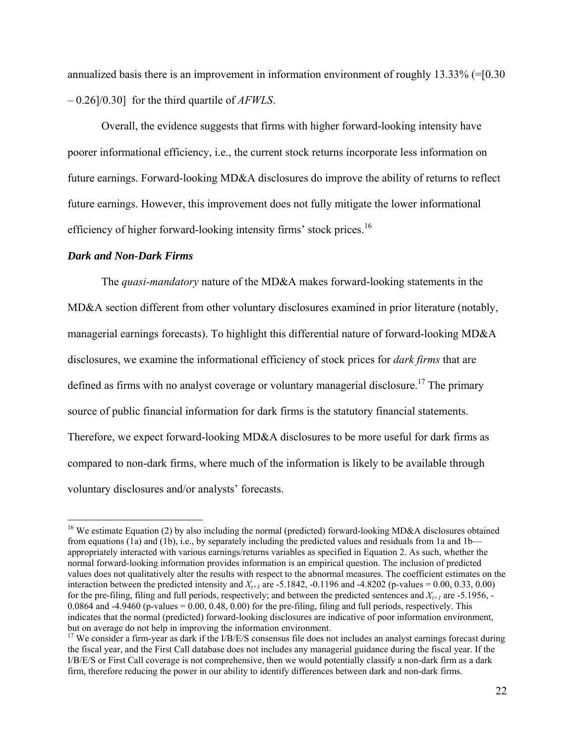annualized basis there is an improvement in information environment of roughly 13.33% (=[0.30 – 0.26]/0.30] for the third quartile of *AFWLS*.

Overall, the evidence suggests that firms with higher forward-looking intensity have poorer informational efficiency, i.e., the current stock returns incorporate less information on future earnings. Forward-looking MD&A disclosures do improve the ability of returns to reflect future earnings. However, this improvement does not fully mitigate the lower informational efficiency of higher forward-looking intensity firms' stock prices.<sup>16</sup>

#### *Dark and Non-Dark Firms*

1

 The *quasi-mandatory* nature of the MD&A makes forward-looking statements in the MD&A section different from other voluntary disclosures examined in prior literature (notably, managerial earnings forecasts). To highlight this differential nature of forward-looking MD&A disclosures, we examine the informational efficiency of stock prices for *dark firms* that are defined as firms with no analyst coverage or voluntary managerial disclosure.<sup>17</sup> The primary source of public financial information for dark firms is the statutory financial statements. Therefore, we expect forward-looking MD&A disclosures to be more useful for dark firms as compared to non-dark firms, where much of the information is likely to be available through voluntary disclosures and/or analysts' forecasts.

<sup>&</sup>lt;sup>16</sup> We estimate Equation (2) by also including the normal (predicted) forward-looking MD&A disclosures obtained from equations (1a) and (1b), i.e., by separately including the predicted values and residuals from 1a and 1b appropriately interacted with various earnings/returns variables as specified in Equation 2. As such, whether the normal forward-looking information provides information is an empirical question. The inclusion of predicted values does not qualitatively alter the results with respect to the abnormal measures. The coefficient estimates on the interaction between the predicted intensity and  $X_{t+1}$  are -5.1842, -0.1196 and -4.8202 (p-values = 0.00, 0.33, 0.00) for the pre-filing, filing and full periods, respectively; and between the predicted sentences and  $X_{t+1}$  are -5.1956, -0.0864 and  $-4.9460$  (p-values = 0.00, 0.48, 0.00) for the pre-filing, filing and full periods, respectively. This indicates that the normal (predicted) forward-looking disclosures are indicative of poor information environment, but on average do not help in improving the information environment.

 $17$  We consider a firm-year as dark if the I/B/E/S consensus file does not includes an analyst earnings forecast during the fiscal year, and the First Call database does not includes any managerial guidance during the fiscal year. If the I/B/E/S or First Call coverage is not comprehensive, then we would potentially classify a non-dark firm as a dark firm, therefore reducing the power in our ability to identify differences between dark and non-dark firms.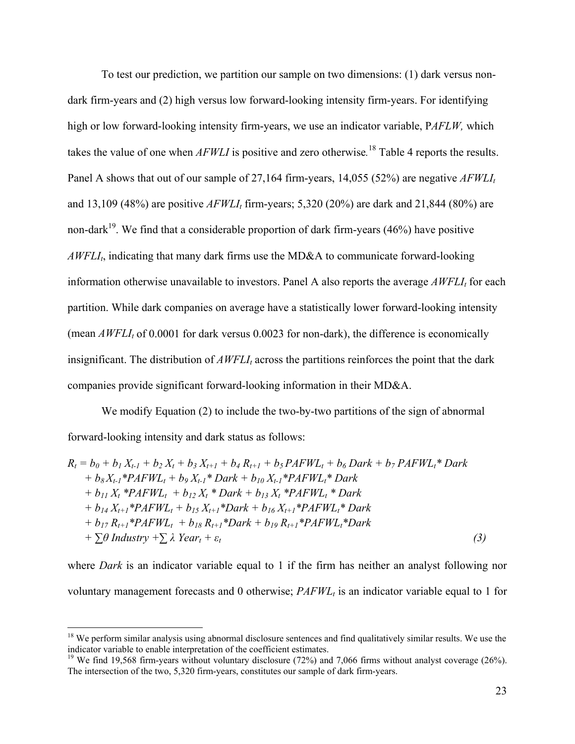To test our prediction, we partition our sample on two dimensions: (1) dark versus nondark firm-years and (2) high versus low forward-looking intensity firm-years. For identifying high or low forward-looking intensity firm-years, we use an indicator variable, P*AFLW,* which takes the value of one when *AFWLI* is positive and zero otherwise*.* 18 Table 4 reports the results. Panel A shows that out of our sample of 27,164 firm-years, 14,055 (52%) are negative *AFWLI*<sub>t</sub> and 13,109 (48%) are positive *AFWLI*<sub>t</sub> firm-years; 5,320 (20%) are dark and 21,844 (80%) are non-dark<sup>19</sup>. We find that a considerable proportion of dark firm-years (46%) have positive *AWFLI<sub>t</sub>*, indicating that many dark firms use the MD&A to communicate forward-looking information otherwise unavailable to investors. Panel A also reports the average  $AWFLI<sub>t</sub>$  for each partition. While dark companies on average have a statistically lower forward-looking intensity (mean  $AWFLI<sub>t</sub>$  of 0.0001 for dark versus 0.0023 for non-dark), the difference is economically insignificant. The distribution of  $AWFLI<sub>t</sub>$  across the partitions reinforces the point that the dark companies provide significant forward-looking information in their MD&A.

We modify Equation (2) to include the two-by-two partitions of the sign of abnormal forward-looking intensity and dark status as follows:

 $R_t = b_0 + b_1 X_{t-1} + b_2 X_t + b_3 X_{t+1} + b_4 R_{t+1} + b_5 PAFWL_t + b_6 Dark + b_7 PAFWL_t * Dark$  $+ b_8 X_{t-1} * PAFWL_t + b_9 X_{t-1} * Dark + b_{10} X_{t-1} * PAFWL_t * Dark$  $+ b_{11} X_t * PAFWL_t + b_{12} X_t * Dark + b_{13} X_t * PAFWL_t * Dark$ *+ b14 Xt+1\*PAFWLt + b15 Xt+1\*Dark + b16 Xt+1\*PAFWLt\* Dark + b17 Rt+1\*PAFWLt + b18 Rt+1\*Dark + b19 Rt+1\*PAFWLt\*Dark*   $+ \sum \theta$  *Industry*  $+ \sum \lambda$  *Year<sub>t</sub>*  $+ \varepsilon_t$  (3)

where *Dark* is an indicator variable equal to 1 if the firm has neither an analyst following nor voluntary management forecasts and 0 otherwise;  $PAFWL<sub>t</sub>$  is an indicator variable equal to 1 for

 $\overline{a}$ 

 $18$  We perform similar analysis using abnormal disclosure sentences and find qualitatively similar results. We use the indicator variable to enable interpretation of the coefficient estimates.

<sup>&</sup>lt;sup>19</sup> We find 19,568 firm-years without voluntary disclosure (72%) and 7,066 firms without analyst coverage (26%). The intersection of the two, 5,320 firm-years, constitutes our sample of dark firm-years.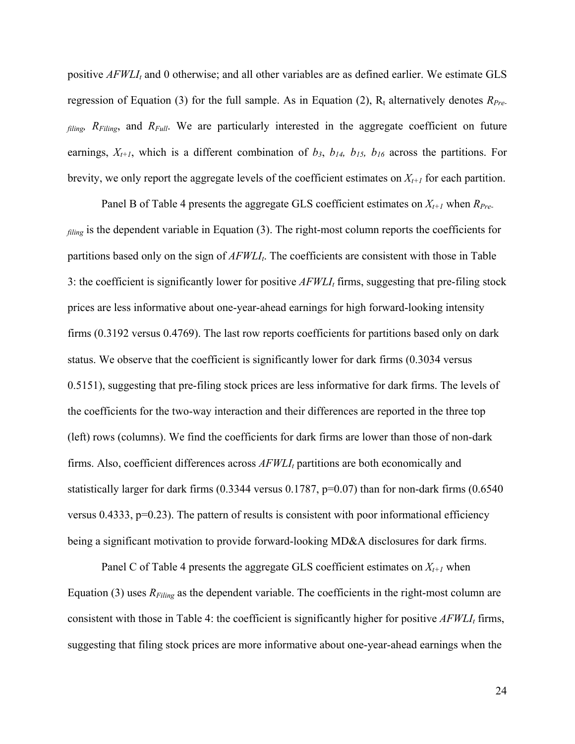positive  $AFWLI<sub>t</sub>$  and 0 otherwise; and all other variables are as defined earlier. We estimate GLS regression of Equation (3) for the full sample. As in Equation (2),  $R_t$  alternatively denotes  $R_{Pre}$ *filing, RFiling*, and *RFull*. We are particularly interested in the aggregate coefficient on future earnings,  $X_{t+1}$ , which is a different combination of  $b_3$ ,  $b_{14}$ ,  $b_{15}$ ,  $b_{16}$  across the partitions. For brevity, we only report the aggregate levels of the coefficient estimates on  $X_{t+1}$  for each partition.

Panel B of Table 4 presents the aggregate GLS coefficient estimates on  $X_{t+1}$  when  $R_{Pre}$ . *filing* is the dependent variable in Equation (3). The right-most column reports the coefficients for partitions based only on the sign of  $AFWLI<sub>t</sub>$ . The coefficients are consistent with those in Table 3: the coefficient is significantly lower for positive  $AFWLI<sub>t</sub>$  firms, suggesting that pre-filing stock prices are less informative about one-year-ahead earnings for high forward-looking intensity firms (0.3192 versus 0.4769). The last row reports coefficients for partitions based only on dark status. We observe that the coefficient is significantly lower for dark firms (0.3034 versus 0.5151), suggesting that pre-filing stock prices are less informative for dark firms. The levels of the coefficients for the two-way interaction and their differences are reported in the three top (left) rows (columns). We find the coefficients for dark firms are lower than those of non-dark firms. Also, coefficient differences across  $AFWLI<sub>t</sub>$  partitions are both economically and statistically larger for dark firms (0.3344 versus 0.1787, p=0.07) than for non-dark firms (0.6540 versus 0.4333,  $p=0.23$ ). The pattern of results is consistent with poor informational efficiency being a significant motivation to provide forward-looking MD&A disclosures for dark firms.

Panel C of Table 4 presents the aggregate GLS coefficient estimates on  $X_{t+1}$  when Equation (3) uses  $R_{Filing}$  as the dependent variable. The coefficients in the right-most column are consistent with those in Table 4: the coefficient is significantly higher for positive  $AFWLI<sub>t</sub>$  firms, suggesting that filing stock prices are more informative about one-year-ahead earnings when the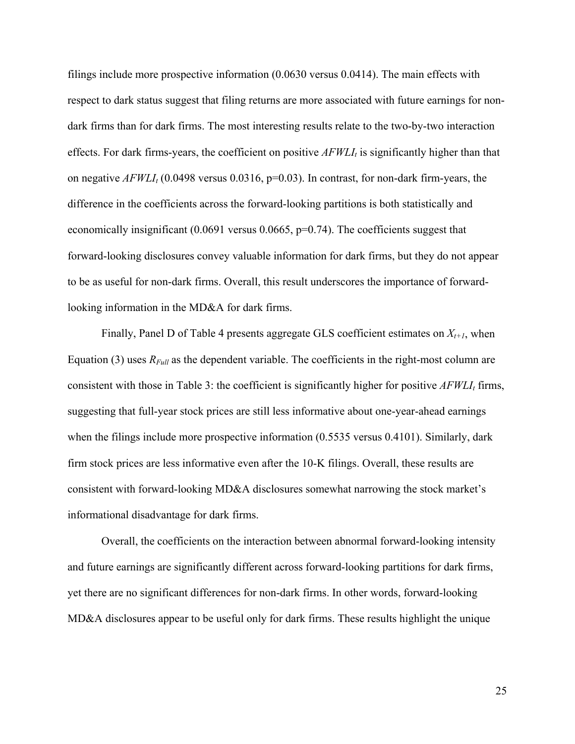filings include more prospective information (0.0630 versus 0.0414). The main effects with respect to dark status suggest that filing returns are more associated with future earnings for nondark firms than for dark firms. The most interesting results relate to the two-by-two interaction effects. For dark firms-years, the coefficient on positive  $AFWLI<sub>t</sub>$  is significantly higher than that on negative  $AFWLI<sub>t</sub>$  (0.0498 versus 0.0316, p=0.03). In contrast, for non-dark firm-years, the difference in the coefficients across the forward-looking partitions is both statistically and economically insignificant (0.0691 versus 0.0665, p=0.74). The coefficients suggest that forward-looking disclosures convey valuable information for dark firms, but they do not appear to be as useful for non-dark firms. Overall, this result underscores the importance of forwardlooking information in the MD&A for dark firms.

Finally, Panel D of Table 4 presents aggregate GLS coefficient estimates on  $X_{t+1}$ , when Equation (3) uses  $R_{Full}$  as the dependent variable. The coefficients in the right-most column are consistent with those in Table 3: the coefficient is significantly higher for positive  $AFWLI<sub>t</sub>$  firms, suggesting that full-year stock prices are still less informative about one-year-ahead earnings when the filings include more prospective information  $(0.5535 \text{ versus } 0.4101)$ . Similarly, dark firm stock prices are less informative even after the 10-K filings. Overall, these results are consistent with forward-looking MD&A disclosures somewhat narrowing the stock market's informational disadvantage for dark firms.

Overall, the coefficients on the interaction between abnormal forward-looking intensity and future earnings are significantly different across forward-looking partitions for dark firms, yet there are no significant differences for non-dark firms. In other words, forward-looking MD&A disclosures appear to be useful only for dark firms. These results highlight the unique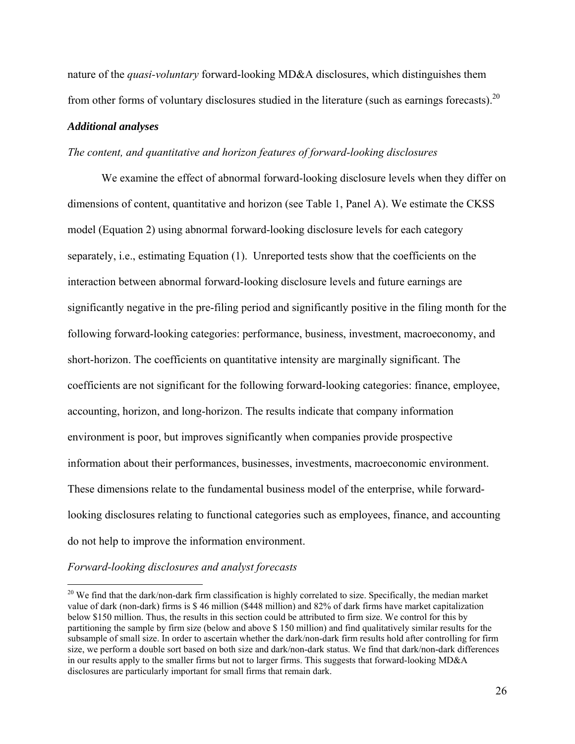nature of the *quasi-voluntary* forward-looking MD&A disclosures, which distinguishes them from other forms of voluntary disclosures studied in the literature (such as earnings forecasts).<sup>20</sup>

#### *Additional analyses*

### *The content, and quantitative and horizon features of forward-looking disclosures*

We examine the effect of abnormal forward-looking disclosure levels when they differ on dimensions of content, quantitative and horizon (see Table 1, Panel A). We estimate the CKSS model (Equation 2) using abnormal forward-looking disclosure levels for each category separately, i.e., estimating Equation (1). Unreported tests show that the coefficients on the interaction between abnormal forward-looking disclosure levels and future earnings are significantly negative in the pre-filing period and significantly positive in the filing month for the following forward-looking categories: performance, business, investment, macroeconomy, and short-horizon. The coefficients on quantitative intensity are marginally significant. The coefficients are not significant for the following forward-looking categories: finance, employee, accounting, horizon, and long-horizon. The results indicate that company information environment is poor, but improves significantly when companies provide prospective information about their performances, businesses, investments, macroeconomic environment. These dimensions relate to the fundamental business model of the enterprise, while forwardlooking disclosures relating to functional categories such as employees, finance, and accounting do not help to improve the information environment.

*Forward-looking disclosures and analyst forecasts* 

<sup>&</sup>lt;sup>20</sup> We find that the dark/non-dark firm classification is highly correlated to size. Specifically, the median market value of dark (non-dark) firms is \$ 46 million (\$448 million) and 82% of dark firms have market capitalization below \$150 million. Thus, the results in this section could be attributed to firm size. We control for this by partitioning the sample by firm size (below and above \$ 150 million) and find qualitatively similar results for the subsample of small size. In order to ascertain whether the dark/non-dark firm results hold after controlling for firm size, we perform a double sort based on both size and dark/non-dark status. We find that dark/non-dark differences in our results apply to the smaller firms but not to larger firms. This suggests that forward-looking MD&A disclosures are particularly important for small firms that remain dark.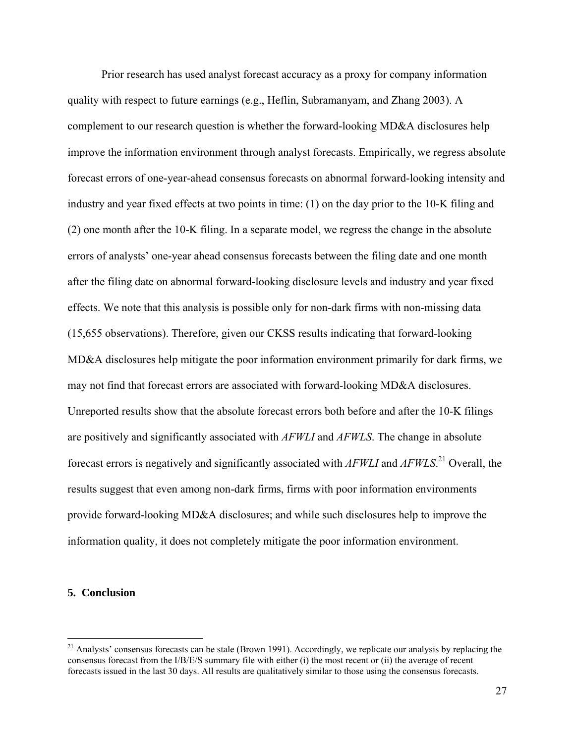Prior research has used analyst forecast accuracy as a proxy for company information quality with respect to future earnings (e.g., Heflin, Subramanyam, and Zhang 2003). A complement to our research question is whether the forward-looking MD&A disclosures help improve the information environment through analyst forecasts. Empirically, we regress absolute forecast errors of one-year-ahead consensus forecasts on abnormal forward-looking intensity and industry and year fixed effects at two points in time: (1) on the day prior to the 10-K filing and (2) one month after the 10-K filing. In a separate model, we regress the change in the absolute errors of analysts' one-year ahead consensus forecasts between the filing date and one month after the filing date on abnormal forward-looking disclosure levels and industry and year fixed effects. We note that this analysis is possible only for non-dark firms with non-missing data (15,655 observations). Therefore, given our CKSS results indicating that forward-looking MD&A disclosures help mitigate the poor information environment primarily for dark firms, we may not find that forecast errors are associated with forward-looking MD&A disclosures. Unreported results show that the absolute forecast errors both before and after the 10-K filings are positively and significantly associated with *AFWLI* and *AFWLS*. The change in absolute forecast errors is negatively and significantly associated with *AFWLI* and *AFWLS*. 21 Overall, the results suggest that even among non-dark firms, firms with poor information environments provide forward-looking MD&A disclosures; and while such disclosures help to improve the information quality, it does not completely mitigate the poor information environment.

### **5. Conclusion**

 $21$  Analysts' consensus forecasts can be stale (Brown 1991). Accordingly, we replicate our analysis by replacing the consensus forecast from the I/B/E/S summary file with either (i) the most recent or (ii) the average of recent forecasts issued in the last 30 days. All results are qualitatively similar to those using the consensus forecasts.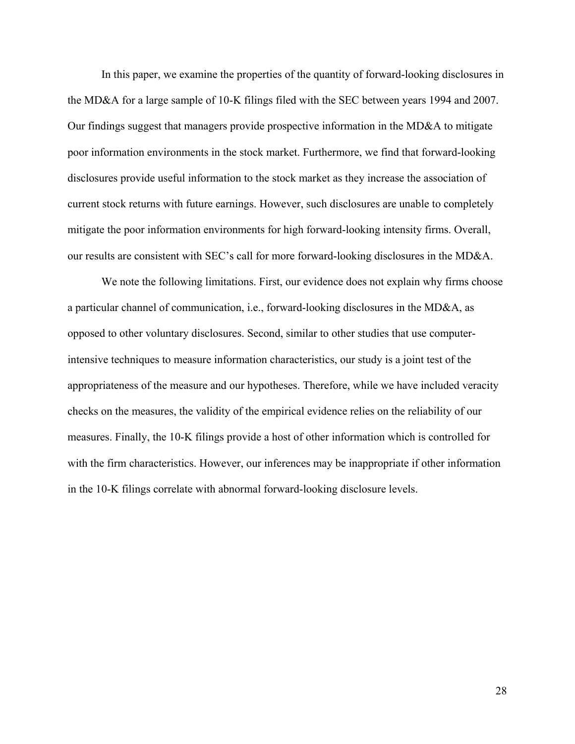In this paper, we examine the properties of the quantity of forward-looking disclosures in the MD&A for a large sample of 10-K filings filed with the SEC between years 1994 and 2007. Our findings suggest that managers provide prospective information in the MD&A to mitigate poor information environments in the stock market. Furthermore, we find that forward-looking disclosures provide useful information to the stock market as they increase the association of current stock returns with future earnings. However, such disclosures are unable to completely mitigate the poor information environments for high forward-looking intensity firms. Overall, our results are consistent with SEC's call for more forward-looking disclosures in the MD&A.

We note the following limitations. First, our evidence does not explain why firms choose a particular channel of communication, i.e., forward-looking disclosures in the MD&A, as opposed to other voluntary disclosures. Second, similar to other studies that use computerintensive techniques to measure information characteristics, our study is a joint test of the appropriateness of the measure and our hypotheses. Therefore, while we have included veracity checks on the measures, the validity of the empirical evidence relies on the reliability of our measures. Finally, the 10-K filings provide a host of other information which is controlled for with the firm characteristics. However, our inferences may be inappropriate if other information in the 10-K filings correlate with abnormal forward-looking disclosure levels.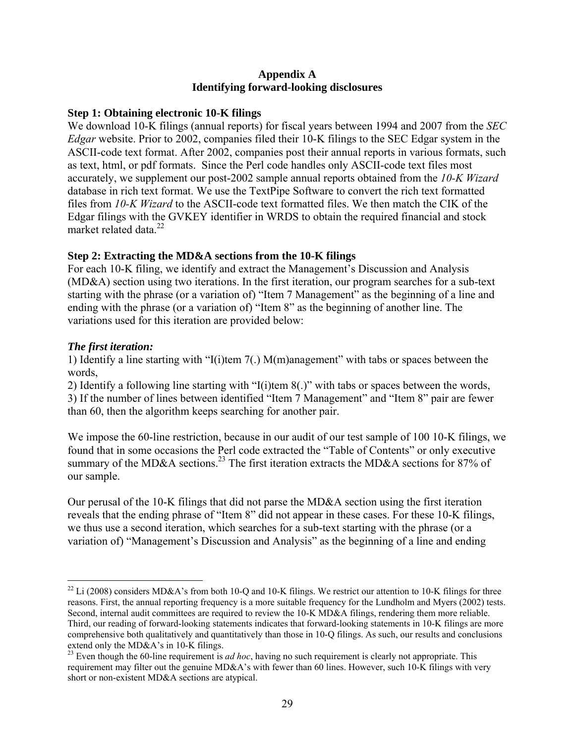## **Appendix A Identifying forward-looking disclosures**

# **Step 1: Obtaining electronic 10-K filings**

We download 10-K filings (annual reports) for fiscal years between 1994 and 2007 from the *SEC Edgar* website. Prior to 2002, companies filed their 10-K filings to the SEC Edgar system in the ASCII-code text format. After 2002, companies post their annual reports in various formats, such as text, html, or pdf formats. Since the Perl code handles only ASCII-code text files most accurately, we supplement our post-2002 sample annual reports obtained from the *10-K Wizard* database in rich text format. We use the TextPipe Software to convert the rich text formatted files from *10-K Wizard* to the ASCII-code text formatted files. We then match the CIK of the Edgar filings with the GVKEY identifier in WRDS to obtain the required financial and stock market related data.<sup>22</sup>

# **Step 2: Extracting the MD&A sections from the 10-K filings**

For each 10-K filing, we identify and extract the Management's Discussion and Analysis (MD&A) section using two iterations. In the first iteration, our program searches for a sub-text starting with the phrase (or a variation of) "Item 7 Management" as the beginning of a line and ending with the phrase (or a variation of) "Item 8" as the beginning of another line. The variations used for this iteration are provided below:

# *The first iteration:*

<u>.</u>

1) Identify a line starting with "I(i)tem 7(.) M(m)anagement" with tabs or spaces between the words,

2) Identify a following line starting with "I(i)tem 8(.)" with tabs or spaces between the words, 3) If the number of lines between identified "Item 7 Management" and "Item 8" pair are fewer than 60, then the algorithm keeps searching for another pair.

We impose the 60-line restriction, because in our audit of our test sample of 100 10-K filings, we found that in some occasions the Perl code extracted the "Table of Contents" or only executive summary of the MD&A sections.<sup>23</sup> The first iteration extracts the MD&A sections for 87% of our sample.

Our perusal of the 10-K filings that did not parse the MD&A section using the first iteration reveals that the ending phrase of "Item 8" did not appear in these cases. For these 10-K filings, we thus use a second iteration, which searches for a sub-text starting with the phrase (or a variation of) "Management's Discussion and Analysis" as the beginning of a line and ending

 $^{22}$  Li (2008) considers MD&A's from both 10-Q and 10-K filings. We restrict our attention to 10-K filings for three reasons. First, the annual reporting frequency is a more suitable frequency for the Lundholm and Myers (2002) tests. Second, internal audit committees are required to review the 10-K MD&A filings, rendering them more reliable. Third, our reading of forward-looking statements indicates that forward-looking statements in 10-K filings are more comprehensive both qualitatively and quantitatively than those in 10-Q filings. As such, our results and conclusions extend only the MD&A's in 10-K filings.

<sup>&</sup>lt;sup>23</sup> Even though the 60-line requirement is *ad hoc*, having no such requirement is clearly not appropriate. This requirement may filter out the genuine MD&A's with fewer than 60 lines. However, such 10-K filings with very short or non-existent MD&A sections are atypical.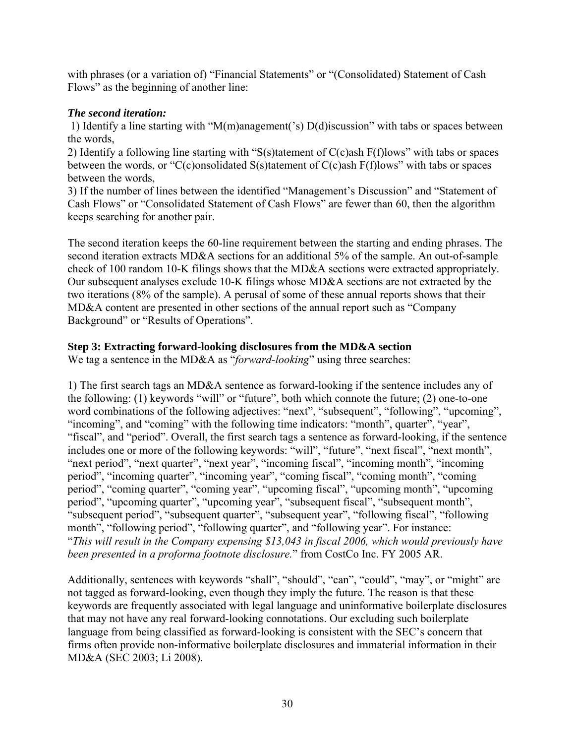with phrases (or a variation of) "Financial Statements" or "(Consolidated) Statement of Cash Flows" as the beginning of another line:

# *The second iteration:*

 1) Identify a line starting with "M(m)anagement('s) D(d)iscussion" with tabs or spaces between the words,

2) Identify a following line starting with "S(s)tatement of C(c)ash F(f)lows" with tabs or spaces between the words, or "C(c)onsolidated S(s)tatement of C(c)ash F(f)lows" with tabs or spaces between the words,

3) If the number of lines between the identified "Management's Discussion" and "Statement of Cash Flows" or "Consolidated Statement of Cash Flows" are fewer than 60, then the algorithm keeps searching for another pair.

The second iteration keeps the 60-line requirement between the starting and ending phrases. The second iteration extracts MD&A sections for an additional 5% of the sample. An out-of-sample check of 100 random 10-K filings shows that the MD&A sections were extracted appropriately. Our subsequent analyses exclude 10-K filings whose MD&A sections are not extracted by the two iterations (8% of the sample). A perusal of some of these annual reports shows that their MD&A content are presented in other sections of the annual report such as "Company Background" or "Results of Operations".

# **Step 3: Extracting forward-looking disclosures from the MD&A section**

We tag a sentence in the MD&A as "*forward-looking*" using three searches:

1) The first search tags an MD&A sentence as forward-looking if the sentence includes any of the following: (1) keywords "will" or "future", both which connote the future; (2) one-to-one word combinations of the following adjectives: "next", "subsequent", "following", "upcoming", "incoming", and "coming" with the following time indicators: "month", quarter", "year", "fiscal", and "period". Overall, the first search tags a sentence as forward-looking, if the sentence includes one or more of the following keywords: "will", "future", "next fiscal", "next month", "next period", "next quarter", "next year", "incoming fiscal", "incoming month", "incoming period", "incoming quarter", "incoming year", "coming fiscal", "coming month", "coming period", "coming quarter", "coming year", "upcoming fiscal", "upcoming month", "upcoming period", "upcoming quarter", "upcoming year", "subsequent fiscal", "subsequent month", "subsequent period", "subsequent quarter", "subsequent year", "following fiscal", "following month", "following period", "following quarter", and "following year". For instance: "*This will result in the Company expensing \$13,043 in fiscal 2006, which would previously have been presented in a proforma footnote disclosure.*" from CostCo Inc. FY 2005 AR.

Additionally, sentences with keywords "shall", "should", "can", "could", "may", or "might" are not tagged as forward-looking, even though they imply the future. The reason is that these keywords are frequently associated with legal language and uninformative boilerplate disclosures that may not have any real forward-looking connotations. Our excluding such boilerplate language from being classified as forward-looking is consistent with the SEC's concern that firms often provide non-informative boilerplate disclosures and immaterial information in their MD&A (SEC 2003; Li 2008).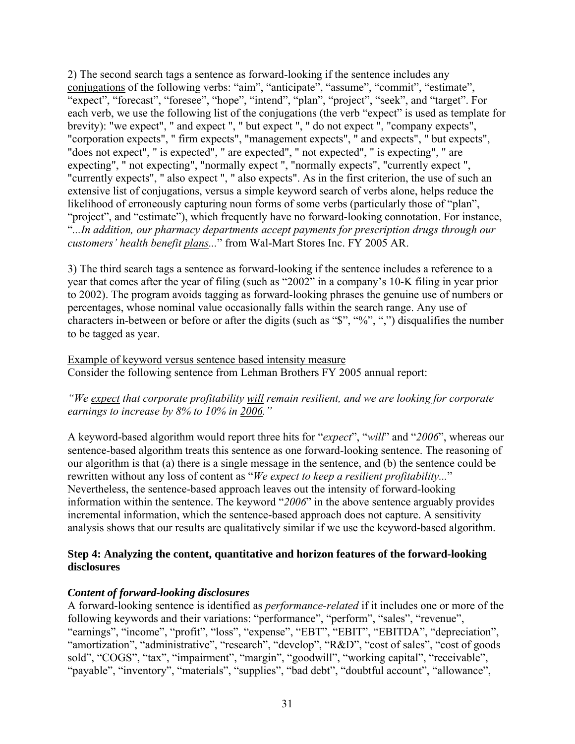2) The second search tags a sentence as forward-looking if the sentence includes any conjugations of the following verbs: "aim", "anticipate", "assume", "commit", "estimate", "expect", "forecast", "foresee", "hope", "intend", "plan", "project", "seek", and "target". For each verb, we use the following list of the conjugations (the verb "expect" is used as template for brevity): "we expect", " and expect ", " but expect ", " do not expect ", "company expects", "corporation expects", " firm expects", "management expects", " and expects", " but expects", "does not expect", " is expected", " are expected", " not expected", " is expecting", " are expecting", " not expecting", "normally expect ", "normally expects", "currently expect ", "currently expects", " also expect ", " also expects". As in the first criterion, the use of such an extensive list of conjugations, versus a simple keyword search of verbs alone, helps reduce the likelihood of erroneously capturing noun forms of some verbs (particularly those of "plan", "project", and "estimate"), which frequently have no forward-looking connotation. For instance, "*...In addition, our pharmacy departments accept payments for prescription drugs through our customers' health benefit plans...*" from Wal-Mart Stores Inc. FY 2005 AR.

3) The third search tags a sentence as forward-looking if the sentence includes a reference to a year that comes after the year of filing (such as "2002" in a company's 10-K filing in year prior to 2002). The program avoids tagging as forward-looking phrases the genuine use of numbers or percentages, whose nominal value occasionally falls within the search range. Any use of characters in-between or before or after the digits (such as "\$", "%", ",") disqualifies the number to be tagged as year.

Example of keyword versus sentence based intensity measure Consider the following sentence from Lehman Brothers FY 2005 annual report:

*"We expect that corporate profitability will remain resilient, and we are looking for corporate earnings to increase by 8% to 10% in 2006."*

A keyword-based algorithm would report three hits for "*expect*", "*will*" and "*2006*", whereas our sentence-based algorithm treats this sentence as one forward-looking sentence. The reasoning of our algorithm is that (a) there is a single message in the sentence, and (b) the sentence could be rewritten without any loss of content as "*We expect to keep a resilient profitability...*" Nevertheless, the sentence-based approach leaves out the intensity of forward-looking information within the sentence. The keyword "*2006*" in the above sentence arguably provides incremental information, which the sentence-based approach does not capture. A sensitivity analysis shows that our results are qualitatively similar if we use the keyword-based algorithm.

# **Step 4: Analyzing the content, quantitative and horizon features of the forward-looking disclosures**

# *Content of forward-looking disclosures*

A forward-looking sentence is identified as *performance-related* if it includes one or more of the following keywords and their variations: "performance", "perform", "sales", "revenue", "earnings", "income", "profit", "loss", "expense", "EBT", "EBIT", "EBITDA", "depreciation", "amortization", "administrative", "research", "develop", "R&D", "cost of sales", "cost of goods sold", "COGS", "tax", "impairment", "margin", "goodwill", "working capital", "receivable", "payable", "inventory", "materials", "supplies", "bad debt", "doubtful account", "allowance",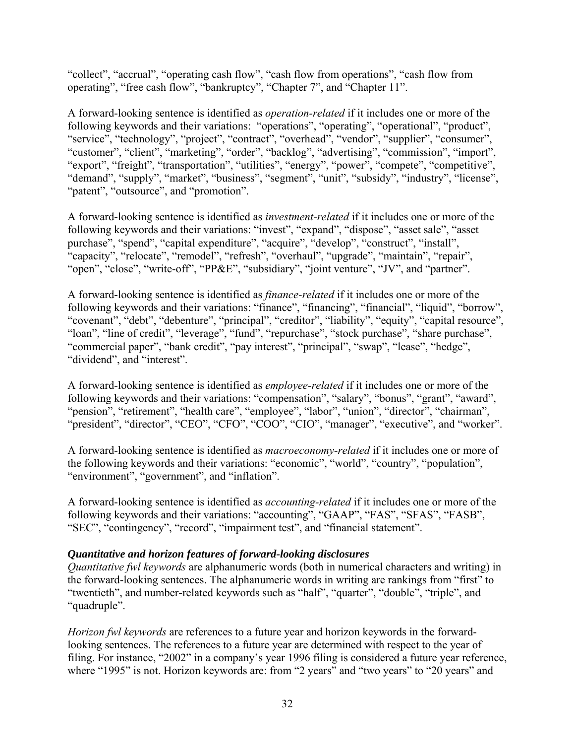"collect", "accrual", "operating cash flow", "cash flow from operations", "cash flow from operating", "free cash flow", "bankruptcy", "Chapter 7", and "Chapter 11".

A forward-looking sentence is identified as *operation-related* if it includes one or more of the following keywords and their variations: "operations", "operating", "operational", "product", "service", "technology", "project", "contract", "overhead", "vendor", "supplier", "consumer", "customer", "client", "marketing", "order", "backlog", "advertising", "commission", "import", "export", "freight", "transportation", "utilities", "energy", "power", "compete", "competitive", "demand", "supply", "market", "business", "segment", "unit", "subsidy", "industry", "license", "patent", "outsource", and "promotion".

A forward-looking sentence is identified as *investment-related* if it includes one or more of the following keywords and their variations: "invest", "expand", "dispose", "asset sale", "asset purchase", "spend", "capital expenditure", "acquire", "develop", "construct", "install", "capacity", "relocate", "remodel", "refresh", "overhaul", "upgrade", "maintain", "repair", "open", "close", "write-off", "PP&E", "subsidiary", "joint venture", "JV", and "partner".

A forward-looking sentence is identified as *finance-related* if it includes one or more of the following keywords and their variations: "finance", "financing", "financial", "liquid", "borrow", "covenant", "debt", "debenture", "principal", "creditor", "liability", "equity", "capital resource", "loan", "line of credit", "leverage", "fund", "repurchase", "stock purchase", "share purchase", "commercial paper", "bank credit", "pay interest", "principal", "swap", "lease", "hedge", "dividend", and "interest".

A forward-looking sentence is identified as *employee-related* if it includes one or more of the following keywords and their variations: "compensation", "salary", "bonus", "grant", "award", "pension", "retirement", "health care", "employee", "labor", "union", "director", "chairman", "president", "director", "CEO", "CFO", "COO", "CIO", "manager", "executive", and "worker".

A forward-looking sentence is identified as *macroeconomy-related* if it includes one or more of the following keywords and their variations: "economic", "world", "country", "population", "environment", "government", and "inflation".

A forward-looking sentence is identified as *accounting-related* if it includes one or more of the following keywords and their variations: "accounting", "GAAP", "FAS", "SFAS", "FASB", "SEC", "contingency", "record", "impairment test", and "financial statement".

# *Quantitative and horizon features of forward-looking disclosures*

*Quantitative fwl keywords* are alphanumeric words (both in numerical characters and writing) in the forward-looking sentences. The alphanumeric words in writing are rankings from "first" to "twentieth", and number-related keywords such as "half", "quarter", "double", "triple", and "quadruple".

*Horizon fwl keywords* are references to a future year and horizon keywords in the forwardlooking sentences. The references to a future year are determined with respect to the year of filing. For instance, "2002" in a company's year 1996 filing is considered a future year reference, where "1995" is not. Horizon keywords are: from "2 years" and "two years" to "20 years" and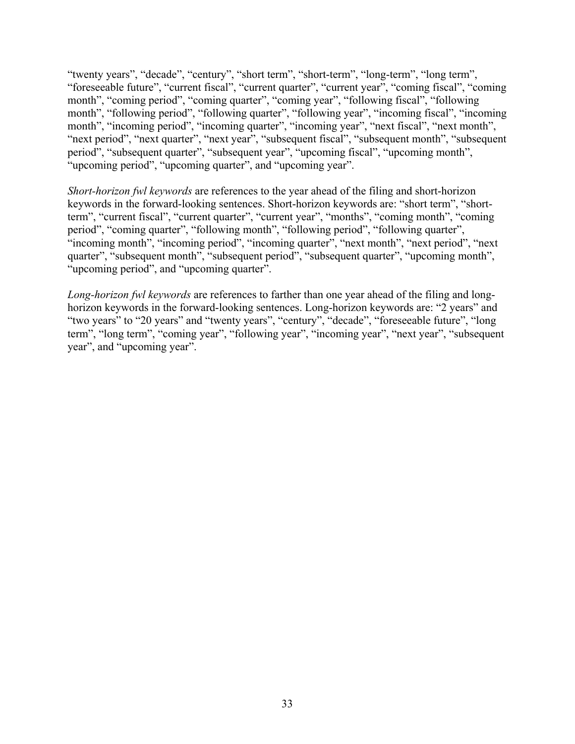"twenty years", "decade", "century", "short term", "short-term", "long-term", "long term", "foreseeable future", "current fiscal", "current quarter", "current year", "coming fiscal", "coming month", "coming period", "coming quarter", "coming year", "following fiscal", "following month", "following period", "following quarter", "following year", "incoming fiscal", "incoming month", "incoming period", "incoming quarter", "incoming year", "next fiscal", "next month", "next period", "next quarter", "next year", "subsequent fiscal", "subsequent month", "subsequent period", "subsequent quarter", "subsequent year", "upcoming fiscal", "upcoming month", "upcoming period", "upcoming quarter", and "upcoming year".

*Short-horizon fwl keywords* are references to the year ahead of the filing and short-horizon keywords in the forward-looking sentences. Short-horizon keywords are: "short term", "shortterm", "current fiscal", "current quarter", "current year", "months", "coming month", "coming period", "coming quarter", "following month", "following period", "following quarter", "incoming month", "incoming period", "incoming quarter", "next month", "next period", "next quarter", "subsequent month", "subsequent period", "subsequent quarter", "upcoming month", "upcoming period", and "upcoming quarter".

*Long-horizon fwl keywords* are references to farther than one year ahead of the filing and longhorizon keywords in the forward-looking sentences. Long-horizon keywords are: "2 years" and "two years" to "20 years" and "twenty years", "century", "decade", "foreseeable future", "long term", "long term", "coming year", "following year", "incoming year", "next year", "subsequent year", and "upcoming year".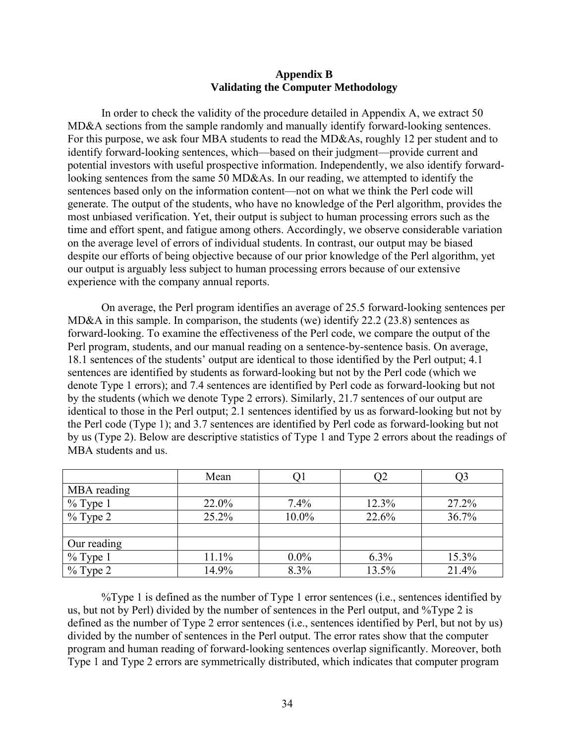# **Appendix B Validating the Computer Methodology**

In order to check the validity of the procedure detailed in Appendix A, we extract 50 MD&A sections from the sample randomly and manually identify forward-looking sentences. For this purpose, we ask four MBA students to read the MD&As, roughly 12 per student and to identify forward-looking sentences, which—based on their judgment—provide current and potential investors with useful prospective information. Independently, we also identify forwardlooking sentences from the same 50 MD&As. In our reading, we attempted to identify the sentences based only on the information content—not on what we think the Perl code will generate. The output of the students, who have no knowledge of the Perl algorithm, provides the most unbiased verification. Yet, their output is subject to human processing errors such as the time and effort spent, and fatigue among others. Accordingly, we observe considerable variation on the average level of errors of individual students. In contrast, our output may be biased despite our efforts of being objective because of our prior knowledge of the Perl algorithm, yet our output is arguably less subject to human processing errors because of our extensive experience with the company annual reports.

On average, the Perl program identifies an average of 25.5 forward-looking sentences per MD&A in this sample. In comparison, the students (we) identify 22.2 (23.8) sentences as forward-looking. To examine the effectiveness of the Perl code, we compare the output of the Perl program, students, and our manual reading on a sentence-by-sentence basis. On average, 18.1 sentences of the students' output are identical to those identified by the Perl output; 4.1 sentences are identified by students as forward-looking but not by the Perl code (which we denote Type 1 errors); and 7.4 sentences are identified by Perl code as forward-looking but not by the students (which we denote Type 2 errors). Similarly, 21.7 sentences of our output are identical to those in the Perl output; 2.1 sentences identified by us as forward-looking but not by the Perl code (Type 1); and 3.7 sentences are identified by Perl code as forward-looking but not by us (Type 2). Below are descriptive statistics of Type 1 and Type 2 errors about the readings of MBA students and us.

|             | Mean  |         | J2      | در    |
|-------------|-------|---------|---------|-------|
| MBA reading |       |         |         |       |
| $%$ Type 1  | 22.0% | 7.4%    | 12.3%   | 27.2% |
| $\%$ Type 2 | 25.2% | 10.0%   | 22.6%   | 36.7% |
|             |       |         |         |       |
| Our reading |       |         |         |       |
| $%$ Type 1  | 11.1% | $0.0\%$ | $6.3\%$ | 15.3% |
| $\%$ Type 2 | 14.9% | 8.3%    | 13.5%   | 21.4% |

%Type 1 is defined as the number of Type 1 error sentences (i.e., sentences identified by us, but not by Perl) divided by the number of sentences in the Perl output, and %Type 2 is defined as the number of Type 2 error sentences (i.e., sentences identified by Perl, but not by us) divided by the number of sentences in the Perl output. The error rates show that the computer program and human reading of forward-looking sentences overlap significantly. Moreover, both Type 1 and Type 2 errors are symmetrically distributed, which indicates that computer program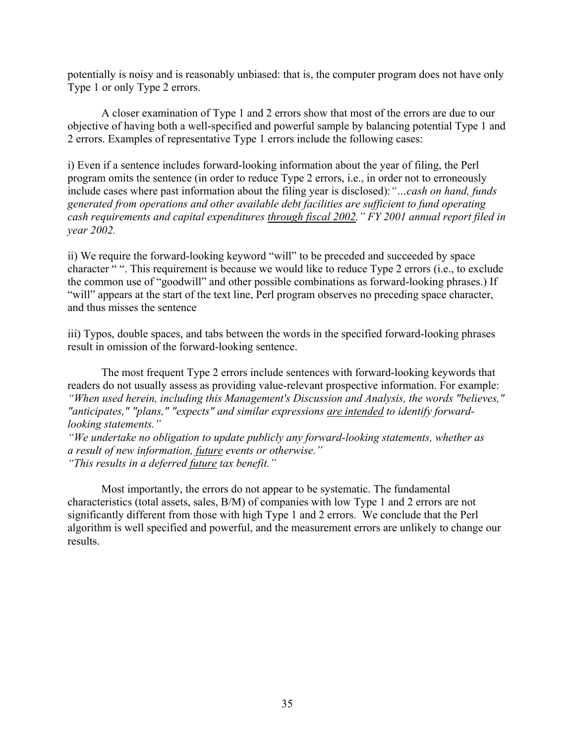potentially is noisy and is reasonably unbiased: that is, the computer program does not have only Type 1 or only Type 2 errors.

A closer examination of Type 1 and 2 errors show that most of the errors are due to our objective of having both a well-specified and powerful sample by balancing potential Type 1 and 2 errors. Examples of representative Type 1 errors include the following cases:

i) Even if a sentence includes forward-looking information about the year of filing, the Perl program omits the sentence (in order to reduce Type 2 errors, i.e., in order not to erroneously include cases where past information about the filing year is disclosed):*"…cash on hand, funds generated from operations and other available debt facilities are sufficient to fund operating cash requirements and capital expenditures through fiscal 2002." FY 2001 annual report filed in year 2002.*

ii) We require the forward-looking keyword "will" to be preceded and succeeded by space character " ". This requirement is because we would like to reduce Type 2 errors (i.e., to exclude the common use of "goodwill" and other possible combinations as forward-looking phrases.) If "will" appears at the start of the text line, Perl program observes no preceding space character, and thus misses the sentence

iii) Typos, double spaces, and tabs between the words in the specified forward-looking phrases result in omission of the forward-looking sentence.

The most frequent Type 2 errors include sentences with forward-looking keywords that readers do not usually assess as providing value-relevant prospective information. For example: *"When used herein, including this Management's Discussion and Analysis, the words "believes," "anticipates," "plans," "expects" and similar expressions are intended to identify forwardlooking statements."* 

*"We undertake no obligation to update publicly any forward-looking statements, whether as a result of new information, future events or otherwise." "This results in a deferred future tax benefit."* 

Most importantly, the errors do not appear to be systematic. The fundamental characteristics (total assets, sales, B/M) of companies with low Type 1 and 2 errors are not significantly different from those with high Type 1 and 2 errors. We conclude that the Perl algorithm is well specified and powerful, and the measurement errors are unlikely to change our results.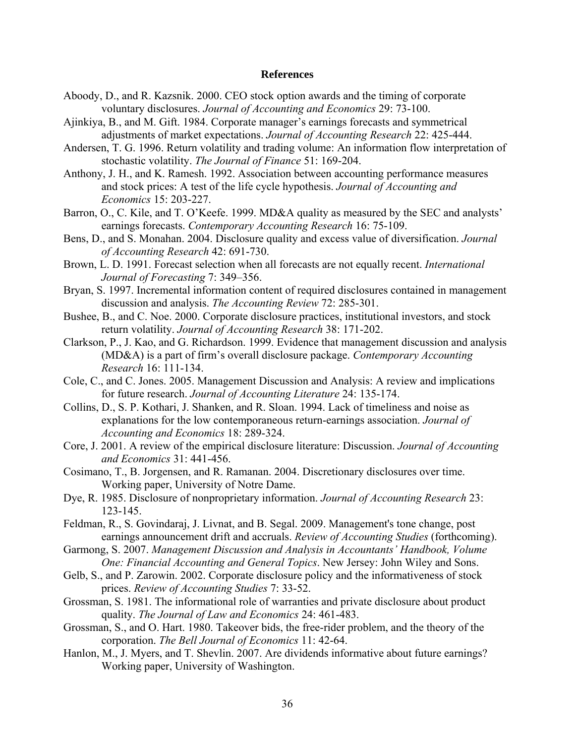### **References**

- Aboody, D., and R. Kazsnik. 2000. CEO stock option awards and the timing of corporate voluntary disclosures. *Journal of Accounting and Economics* 29: 73-100.
- Ajinkiya, B., and M. Gift. 1984. Corporate manager's earnings forecasts and symmetrical adjustments of market expectations. *Journal of Accounting Research* 22: 425-444.
- Andersen, T. G. 1996. Return volatility and trading volume: An information flow interpretation of stochastic volatility. *The Journal of Finance* 51: 169-204.
- Anthony, J. H., and K. Ramesh. 1992. Association between accounting performance measures and stock prices: A test of the life cycle hypothesis. *Journal of Accounting and Economics* 15: 203-227.
- Barron, O., C. Kile, and T. O'Keefe. 1999. MD&A quality as measured by the SEC and analysts' earnings forecasts. *Contemporary Accounting Research* 16: 75-109.
- Bens, D., and S. Monahan. 2004. Disclosure quality and excess value of diversification. *Journal of Accounting Research* 42: 691-730.
- Brown, L. D. 1991. Forecast selection when all forecasts are not equally recent. *International Journal of Forecasting* 7: 349–356.
- Bryan, S. 1997. Incremental information content of required disclosures contained in management discussion and analysis. *The Accounting Review* 72: 285-301.
- Bushee, B., and C. Noe. 2000. Corporate disclosure practices, institutional investors, and stock return volatility. *Journal of Accounting Research* 38: 171-202.
- Clarkson, P., J. Kao, and G. Richardson. 1999. Evidence that management discussion and analysis (MD&A) is a part of firm's overall disclosure package. *Contemporary Accounting Research* 16: 111-134.
- Cole, C., and C. Jones. 2005. Management Discussion and Analysis: A review and implications for future research. *Journal of Accounting Literature* 24: 135-174.
- Collins, D., S. P. Kothari, J. Shanken, and R. Sloan. 1994. Lack of timeliness and noise as explanations for the low contemporaneous return-earnings association. *Journal of Accounting and Economics* 18: 289-324.
- Core, J. 2001. A review of the empirical disclosure literature: Discussion. *Journal of Accounting and Economics* 31: 441-456.
- Cosimano, T., B. Jorgensen, and R. Ramanan. 2004. Discretionary disclosures over time. Working paper, University of Notre Dame.
- Dye, R. 1985. Disclosure of nonproprietary information. *Journal of Accounting Research* 23: 123-145.
- Feldman, R., S. Govindaraj, J. Livnat, and B. Segal. 2009. Management's tone change, post earnings announcement drift and accruals. *Review of Accounting Studies* (forthcoming).
- Garmong, S. 2007. *Management Discussion and Analysis in Accountants' Handbook, Volume One: Financial Accounting and General Topics*. New Jersey: John Wiley and Sons.
- Gelb, S., and P. Zarowin. 2002. Corporate disclosure policy and the informativeness of stock prices. *Review of Accounting Studies* 7: 33-52.
- Grossman, S. 1981. The informational role of warranties and private disclosure about product quality. *The Journal of Law and Economics* 24: 461-483.
- Grossman, S., and O. Hart. 1980. Takeover bids, the free-rider problem, and the theory of the corporation. *The Bell Journal of Economics* 11: 42-64.
- Hanlon, M., J. Myers, and T. Shevlin. 2007. Are dividends informative about future earnings? Working paper, University of Washington.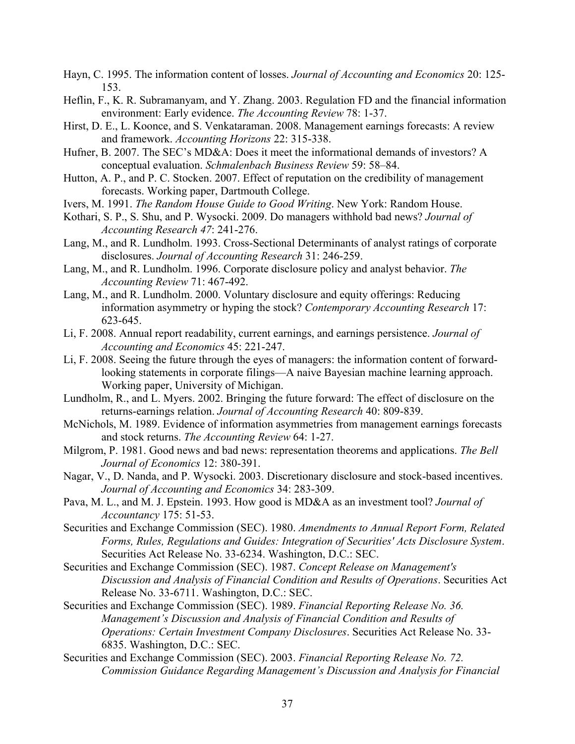- Hayn, C. 1995. The information content of losses. *Journal of Accounting and Economics* 20: 125- 153.
- Heflin, F., K. R. Subramanyam, and Y. Zhang. 2003. Regulation FD and the financial information environment: Early evidence. *The Accounting Review* 78: 1-37.
- Hirst, D. E., L. Koonce, and S. Venkataraman. 2008. Management earnings forecasts: A review and framework. *Accounting Horizons* 22: 315-338.
- Hufner, B. 2007. The SEC's MD&A: Does it meet the informational demands of investors? A conceptual evaluation. *Schmalenbach Business Review* 59: 58–84.
- Hutton, A. P., and P. C. Stocken. 2007. Effect of reputation on the credibility of management forecasts. Working paper, Dartmouth College.
- Ivers, M. 1991. *The Random House Guide to Good Writing*. New York: Random House.
- Kothari, S. P., S. Shu, and P. Wysocki. 2009. Do managers withhold bad news? *Journal of Accounting Research 47*: 241-276.
- Lang, M., and R. Lundholm. 1993. Cross-Sectional Determinants of analyst ratings of corporate disclosures. *Journal of Accounting Research* 31: 246-259.
- Lang, M., and R. Lundholm. 1996. Corporate disclosure policy and analyst behavior. *The Accounting Review* 71: 467-492.
- Lang, M., and R. Lundholm. 2000. Voluntary disclosure and equity offerings: Reducing information asymmetry or hyping the stock? *Contemporary Accounting Research* 17: 623-645.
- Li, F. 2008. Annual report readability, current earnings, and earnings persistence. *Journal of Accounting and Economics* 45: 221-247.
- Li, F. 2008. Seeing the future through the eyes of managers: the information content of forwardlooking statements in corporate filings—A naive Bayesian machine learning approach. Working paper, University of Michigan.
- Lundholm, R., and L. Myers. 2002. Bringing the future forward: The effect of disclosure on the returns-earnings relation. *Journal of Accounting Research* 40: 809-839.
- McNichols, M. 1989. Evidence of information asymmetries from management earnings forecasts and stock returns. *The Accounting Review* 64: 1-27.
- Milgrom, P. 1981. Good news and bad news: representation theorems and applications. *The Bell Journal of Economics* 12: 380-391.
- Nagar, V., D. Nanda, and P. Wysocki. 2003. Discretionary disclosure and stock-based incentives. *Journal of Accounting and Economics* 34: 283-309.
- Pava, M. L., and M. J. Epstein. 1993. How good is MD&A as an investment tool? *Journal of Accountancy* 175: 51-53.
- Securities and Exchange Commission (SEC). 1980. *Amendments to Annual Report Form, Related Forms, Rules, Regulations and Guides: Integration of Securities' Acts Disclosure System*. Securities Act Release No. 33-6234. Washington, D.C.: SEC.
- Securities and Exchange Commission (SEC). 1987. *Concept Release on Management's Discussion and Analysis of Financial Condition and Results of Operations*. Securities Act Release No. 33-6711. Washington, D.C.: SEC.
- Securities and Exchange Commission (SEC). 1989. *Financial Reporting Release No. 36. Management's Discussion and Analysis of Financial Condition and Results of Operations: Certain Investment Company Disclosures*. Securities Act Release No. 33- 6835. Washington, D.C.: SEC.
- Securities and Exchange Commission (SEC). 2003. *Financial Reporting Release No. 72. Commission Guidance Regarding Management's Discussion and Analysis for Financial*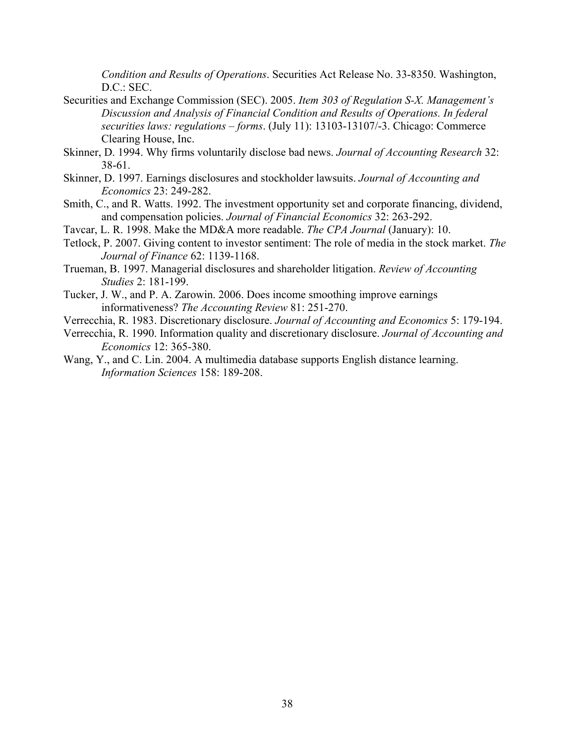*Condition and Results of Operations*. Securities Act Release No. 33-8350. Washington, D.C.: SEC.

- Securities and Exchange Commission (SEC). 2005. *Item 303 of Regulation S-X. Management's Discussion and Analysis of Financial Condition and Results of Operations. In federal securities laws: regulations – forms*. (July 11): 13103-13107/-3. Chicago: Commerce Clearing House, Inc.
- Skinner, D. 1994. Why firms voluntarily disclose bad news. *Journal of Accounting Research* 32: 38-61.
- Skinner, D. 1997. Earnings disclosures and stockholder lawsuits. *Journal of Accounting and Economics* 23: 249-282.
- Smith, C., and R. Watts. 1992. The investment opportunity set and corporate financing, dividend, and compensation policies. *Journal of Financial Economics* 32: 263-292.
- Tavcar, L. R. 1998. Make the MD&A more readable. *The CPA Journal* (January): 10.
- Tetlock, P. 2007. Giving content to investor sentiment: The role of media in the stock market. *The Journal of Finance* 62: 1139-1168.
- Trueman, B. 1997. Managerial disclosures and shareholder litigation. *Review of Accounting Studies* 2: 181-199.
- Tucker, J. W., and P. A. Zarowin. 2006. Does income smoothing improve earnings informativeness? *The Accounting Review* 81: 251-270.
- Verrecchia, R. 1983. Discretionary disclosure. *Journal of Accounting and Economics* 5: 179-194.
- Verrecchia, R. 1990. Information quality and discretionary disclosure. *Journal of Accounting and Economics* 12: 365-380.
- Wang, Y., and C. Lin. 2004. A multimedia database supports English distance learning. *Information Sciences* 158: 189-208.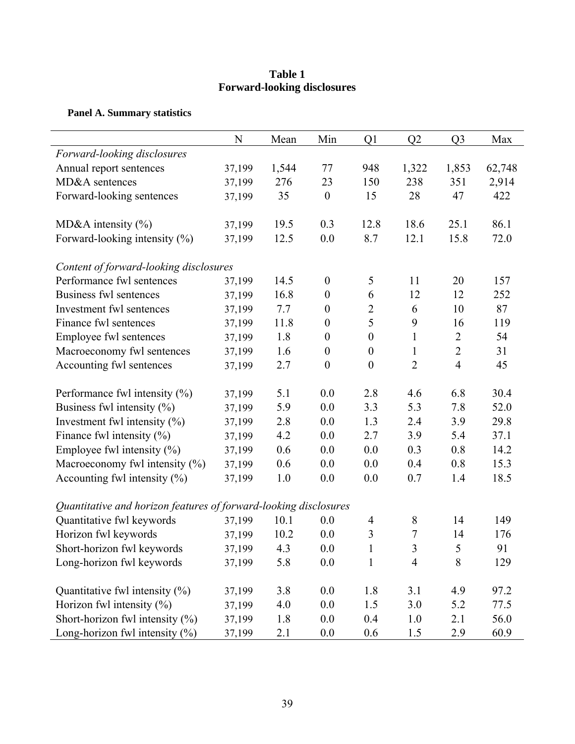# **Table 1 Forward-looking disclosures**

# **Panel A. Summary statistics**

|                                                                  | N      | Mean  | Min              | Q <sub>1</sub>   | Q2             | Q <sub>3</sub> | Max    |
|------------------------------------------------------------------|--------|-------|------------------|------------------|----------------|----------------|--------|
| Forward-looking disclosures                                      |        |       |                  |                  |                |                |        |
| Annual report sentences                                          | 37,199 | 1,544 | 77               | 948              | 1,322          | 1,853          | 62,748 |
| MD&A sentences                                                   | 37,199 | 276   | 23               | 150              | 238            | 351            | 2,914  |
| Forward-looking sentences                                        | 37,199 | 35    | $\boldsymbol{0}$ | 15               | 28             | 47             | 422    |
|                                                                  |        |       |                  |                  |                |                |        |
| MD&A intensity $(\% )$                                           | 37,199 | 19.5  | 0.3              | 12.8             | 18.6           | 25.1           | 86.1   |
| Forward-looking intensity (%)                                    | 37,199 | 12.5  | 0.0              | 8.7              | 12.1           | 15.8           | 72.0   |
|                                                                  |        |       |                  |                  |                |                |        |
| Content of forward-looking disclosures                           |        |       |                  |                  |                |                |        |
| Performance fwl sentences                                        | 37,199 | 14.5  | $\boldsymbol{0}$ | 5                | 11             | 20             | 157    |
| Business fwl sentences                                           | 37,199 | 16.8  | $\boldsymbol{0}$ | 6                | 12             | 12             | 252    |
| Investment fwl sentences                                         | 37,199 | 7.7   | $\boldsymbol{0}$ | $\boldsymbol{2}$ | 6              | 10             | 87     |
| Finance fwl sentences                                            | 37,199 | 11.8  | $\boldsymbol{0}$ | 5                | 9              | 16             | 119    |
| Employee fwl sentences                                           | 37,199 | 1.8   | $\boldsymbol{0}$ | $\boldsymbol{0}$ | $\mathbf{1}$   | $\overline{2}$ | 54     |
| Macroeconomy fwl sentences                                       | 37,199 | 1.6   | $\boldsymbol{0}$ | $\boldsymbol{0}$ | $\mathbf{1}$   | $\overline{2}$ | 31     |
| Accounting fwl sentences                                         | 37,199 | 2.7   | $\boldsymbol{0}$ | $\boldsymbol{0}$ | $\overline{2}$ | $\overline{4}$ | 45     |
| Performance fwl intensity $(\% )$                                | 37,199 | 5.1   | 0.0              | 2.8              | 4.6            | 6.8            | 30.4   |
| Business fwl intensity $(\% )$                                   | 37,199 | 5.9   | 0.0              | 3.3              | 5.3            | 7.8            | 52.0   |
| Investment fwl intensity $(\%)$                                  | 37,199 | 2.8   | 0.0              | 1.3              | 2.4            | 3.9            | 29.8   |
| Finance fwl intensity $(\% )$                                    | 37,199 | 4.2   | 0.0              | 2.7              | 3.9            | 5.4            | 37.1   |
| Employee fwl intensity $(\%)$                                    | 37,199 | 0.6   | 0.0              | 0.0              | 0.3            | 0.8            | 14.2   |
| Macroeconomy fwl intensity $(\%)$                                | 37,199 | 0.6   | 0.0              | 0.0              | 0.4            | 0.8            | 15.3   |
| Accounting fwl intensity $(\%)$                                  | 37,199 | 1.0   | 0.0              | 0.0              | 0.7            | 1.4            | 18.5   |
|                                                                  |        |       |                  |                  |                |                |        |
| Quantitative and horizon features of forward-looking disclosures |        |       |                  |                  |                |                |        |
| Quantitative fwl keywords                                        | 37,199 | 10.1  | 0.0              | $\overline{4}$   | 8              | 14             | 149    |
| Horizon fwl keywords                                             | 37,199 | 10.2  | 0.0              | 3                | $\overline{7}$ | 14             | 176    |
| Short-horizon fwl keywords                                       | 37,199 | 4.3   | 0.0              | $\mathbf{1}$     | 3              | 5              | 91     |
| Long-horizon fwl keywords                                        | 37,199 | 5.8   | 0.0              | $\mathbf{1}$     | $\overline{4}$ | 8              | 129    |
| Quantitative fwl intensity $(\%)$                                | 37,199 | 3.8   | 0.0              | 1.8              | 3.1            | 4.9            | 97.2   |
| Horizon fwl intensity $(\%)$                                     | 37,199 | 4.0   | 0.0              | 1.5              | 3.0            | 5.2            | 77.5   |
| Short-horizon fwl intensity $(\%)$                               | 37,199 | 1.8   | 0.0              | 0.4              | 1.0            | 2.1            | 56.0   |
| Long-horizon fwl intensity $(\%)$                                | 37,199 | 2.1   | 0.0              | 0.6              | 1.5            | 2.9            | 60.9   |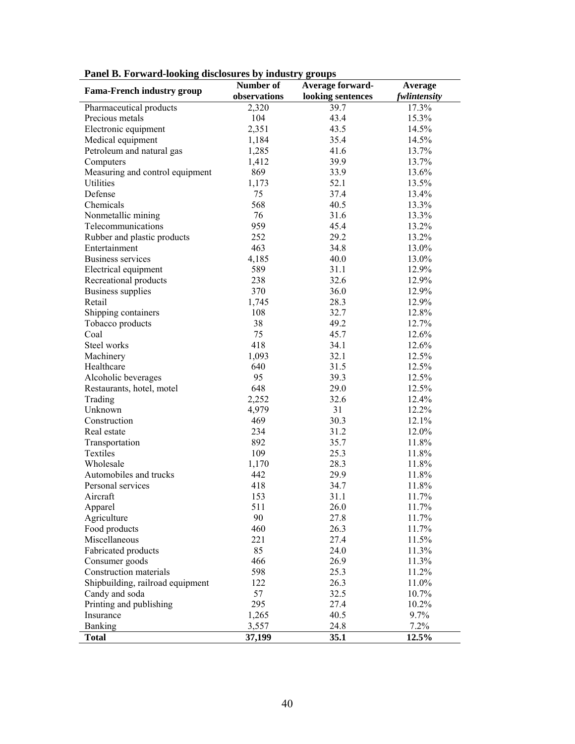|                                   | Number of    | Average forward-  | Average      |
|-----------------------------------|--------------|-------------------|--------------|
| <b>Fama-French industry group</b> | observations | looking sentences | fwlintensity |
| Pharmaceutical products           | 2,320        | 39.7              | 17.3%        |
| Precious metals                   | 104          | 43.4              | 15.3%        |
| Electronic equipment              | 2,351        | 43.5              | 14.5%        |
| Medical equipment                 | 1,184        | 35.4              | 14.5%        |
| Petroleum and natural gas         | 1,285        | 41.6              | 13.7%        |
| Computers                         | 1,412        | 39.9              | 13.7%        |
| Measuring and control equipment   | 869          | 33.9              | 13.6%        |
| <b>Utilities</b>                  | 1,173        | 52.1              | 13.5%        |
| Defense                           | 75           | 37.4              | 13.4%        |
| Chemicals                         | 568          | 40.5              | 13.3%        |
| Nonmetallic mining                | 76           | 31.6              | 13.3%        |
| Telecommunications                | 959          | 45.4              | 13.2%        |
| Rubber and plastic products       | 252          | 29.2              | 13.2%        |
| Entertainment                     | 463          | 34.8              | 13.0%        |
| <b>Business services</b>          | 4,185        | 40.0              | 13.0%        |
| Electrical equipment              | 589          | 31.1              | 12.9%        |
| Recreational products             | 238          | 32.6              | 12.9%        |
| <b>Business supplies</b>          | 370          | 36.0              | 12.9%        |
| Retail                            | 1,745        | 28.3              | 12.9%        |
| Shipping containers               | 108          | 32.7              | 12.8%        |
| Tobacco products                  | 38           | 49.2              | 12.7%        |
| Coal                              | 75           | 45.7              | 12.6%        |
| Steel works                       | 418          | 34.1              | 12.6%        |
| Machinery                         | 1,093        | 32.1              | 12.5%        |
| Healthcare                        | 640          | 31.5              | 12.5%        |
| Alcoholic beverages               | 95           | 39.3              | 12.5%        |
| Restaurants, hotel, motel         | 648          | 29.0              | 12.5%        |
| Trading                           | 2,252        | 32.6              | 12.4%        |
| Unknown                           | 4,979        | 31                | 12.2%        |
| Construction                      | 469          | 30.3              | 12.1%        |
| Real estate                       | 234          | 31.2              | 12.0%        |
| Transportation                    | 892          | 35.7              | 11.8%        |
| Textiles                          | 109          | 25.3              | 11.8%        |
| Wholesale                         | 1,170        | 28.3              | 11.8%        |
| Automobiles and trucks            | 442          | 29.9              | 11.8%        |
| Personal services                 | 418          | 34.7              | 11.8%        |
| Aircraft                          | 153          | 31.1              | 11.7%        |
| Apparel                           | 511          | 26.0              | 11.7%        |
| Agriculture                       | 90           | 27.8              | 11.7%        |
| Food products                     | 460          | 26.3              | 11.7%        |
| Miscellaneous                     | 221          | 27.4              | 11.5%        |
| Fabricated products               | 85           | 24.0              | 11.3%        |
| Consumer goods                    | 466          | 26.9              | 11.3%        |
| Construction materials            | 598          | 25.3              | 11.2%        |
| Shipbuilding, railroad equipment  | 122          | 26.3              | 11.0%        |
| Candy and soda                    | 57           | 32.5              | 10.7%        |
| Printing and publishing           | 295          | 27.4              | 10.2%        |
| Insurance                         | 1,265        | 40.5              | 9.7%         |
| Banking                           | 3,557        | 24.8              | 7.2%         |
| <b>Total</b>                      | 37,199       | 35.1              | 12.5%        |

**Panel B. Forward-looking disclosures by industry groups**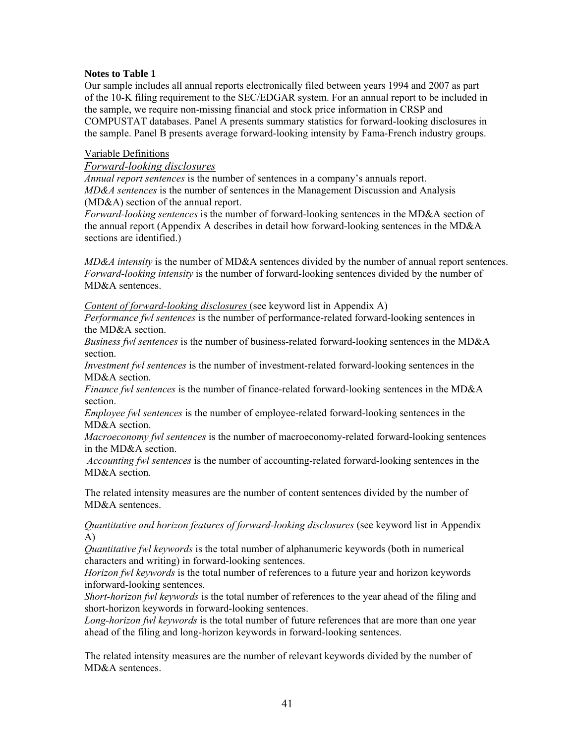## **Notes to Table 1**

Our sample includes all annual reports electronically filed between years 1994 and 2007 as part of the 10-K filing requirement to the SEC/EDGAR system. For an annual report to be included in the sample, we require non-missing financial and stock price information in CRSP and COMPUSTAT databases. Panel A presents summary statistics for forward-looking disclosures in the sample. Panel B presents average forward-looking intensity by Fama-French industry groups.

## Variable Definitions

*Forward-looking disclosures* 

*Annual report sentences* is the number of sentences in a company's annuals report. *MD&A sentences* is the number of sentences in the Management Discussion and Analysis (MD&A) section of the annual report.

*Forward-looking sentences* is the number of forward-looking sentences in the MD&A section of the annual report (Appendix A describes in detail how forward-looking sentences in the MD&A sections are identified.)

*MD&A intensity* is the number of MD&A sentences divided by the number of annual report sentences. *Forward-looking intensity* is the number of forward-looking sentences divided by the number of MD&A sentences.

*Content of forward-looking disclosures* (see keyword list in Appendix A)

*Performance fwl sentences* is the number of performance-related forward-looking sentences in the MD&A section.

*Business fwl sentences* is the number of business-related forward-looking sentences in the MD&A section.

*Investment fwl sentences* is the number of investment-related forward-looking sentences in the MD&A section.

*Finance fwl sentences* is the number of finance-related forward-looking sentences in the MD&A section.

*Employee fwl sentences* is the number of employee-related forward-looking sentences in the MD&A section.

*Macroeconomy fwl sentences* is the number of macroeconomy-related forward-looking sentences in the MD&A section.

 *Accounting fwl sentences* is the number of accounting-related forward-looking sentences in the MD&A section.

The related intensity measures are the number of content sentences divided by the number of MD&A sentences.

*Quantitative and horizon features of forward-looking disclosures* (see keyword list in Appendix A)

*Quantitative fwl keywords* is the total number of alphanumeric keywords (both in numerical characters and writing) in forward-looking sentences.

*Horizon fwl keywords* is the total number of references to a future year and horizon keywords inforward-looking sentences.

*Short-horizon fwl keywords* is the total number of references to the year ahead of the filing and short-horizon keywords in forward-looking sentences.

*Long-horizon fwl keywords* is the total number of future references that are more than one year ahead of the filing and long-horizon keywords in forward-looking sentences.

The related intensity measures are the number of relevant keywords divided by the number of MD&A sentences.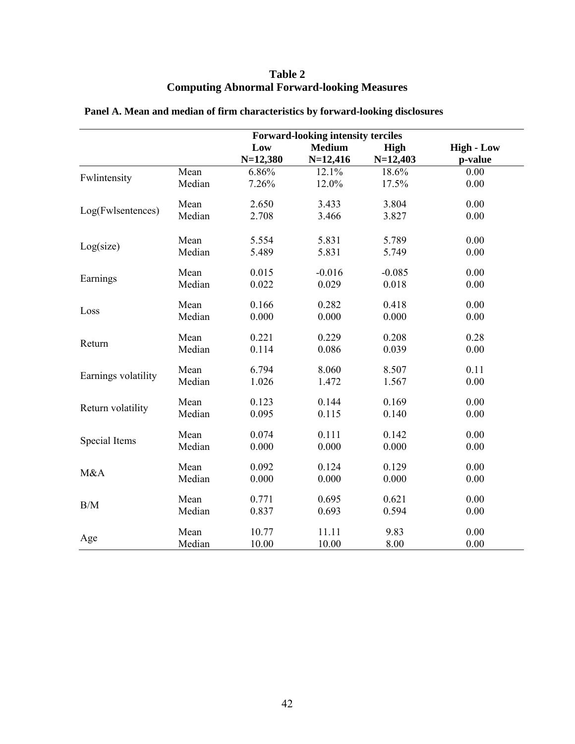| <b>Table 2</b>                                     |
|----------------------------------------------------|
| <b>Computing Abnormal Forward-looking Measures</b> |

|                     |        | <b>Forward-looking intensity terciles</b> |                             |                           |                              |
|---------------------|--------|-------------------------------------------|-----------------------------|---------------------------|------------------------------|
|                     |        | Low<br>$N=12,380$                         | <b>Medium</b><br>$N=12,416$ | <b>High</b><br>$N=12,403$ | <b>High - Low</b><br>p-value |
|                     | Mean   | 6.86%                                     | 12.1%                       | 18.6%                     | 0.00                         |
| Fwlintensity        | Median | 7.26%                                     | 12.0%                       | 17.5%                     | 0.00                         |
|                     | Mean   | 2.650                                     | 3.433                       | 3.804                     | 0.00                         |
| Log(Fwlsentences)   | Median | 2.708                                     | 3.466                       | 3.827                     | 0.00                         |
|                     | Mean   | 5.554                                     | 5.831                       | 5.789                     | 0.00                         |
| Log(size)           | Median | 5.489                                     | 5.831                       | 5.749                     | 0.00                         |
|                     | Mean   | 0.015                                     | $-0.016$                    | $-0.085$                  | 0.00                         |
| Earnings            | Median | 0.022                                     | 0.029                       | 0.018                     | 0.00                         |
| Loss                | Mean   | 0.166                                     | 0.282                       | 0.418                     | 0.00                         |
|                     | Median | 0.000                                     | 0.000                       | 0.000                     | 0.00                         |
| Return              | Mean   | 0.221                                     | 0.229                       | 0.208                     | 0.28                         |
|                     | Median | 0.114                                     | 0.086                       | 0.039                     | 0.00                         |
| Earnings volatility | Mean   | 6.794                                     | 8.060                       | 8.507                     | 0.11                         |
|                     | Median | 1.026                                     | 1.472                       | 1.567                     | 0.00                         |
| Return volatility   | Mean   | 0.123                                     | 0.144                       | 0.169                     | 0.00                         |
|                     | Median | 0.095                                     | 0.115                       | 0.140                     | 0.00                         |
| Special Items       | Mean   | 0.074                                     | 0.111                       | 0.142                     | 0.00                         |
|                     | Median | 0.000                                     | 0.000                       | 0.000                     | 0.00                         |
| M&A                 | Mean   | 0.092                                     | 0.124                       | 0.129                     | 0.00                         |
|                     | Median | 0.000                                     | 0.000                       | 0.000                     | 0.00                         |
| B/M                 | Mean   | 0.771                                     | 0.695                       | 0.621                     | 0.00                         |
|                     | Median | 0.837                                     | 0.693                       | 0.594                     | 0.00                         |
|                     | Mean   | 10.77                                     | 11.11                       | 9.83                      | 0.00                         |
| Age                 | Median | 10.00                                     | 10.00                       | 8.00                      | 0.00                         |

# **Panel A. Mean and median of firm characteristics by forward-looking disclosures**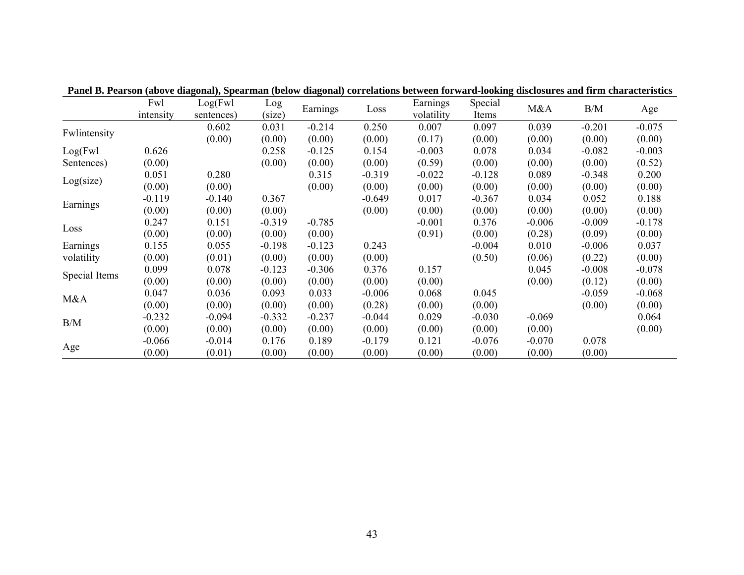|               | Fwl       | Log(Fwl    | Log      |          |          | Earnings   | Special  |          | B/M      |          |
|---------------|-----------|------------|----------|----------|----------|------------|----------|----------|----------|----------|
|               | intensity | sentences) | (size)   | Earnings | Loss     | volatility | Items    | M&A      |          | Age      |
|               |           | 0.602      | 0.031    | $-0.214$ | 0.250    | 0.007      | 0.097    | 0.039    | $-0.201$ | $-0.075$ |
| Fwlintensity  |           | (0.00)     | (0.00)   | (0.00)   | (0.00)   | (0.17)     | (0.00)   | (0.00)   | (0.00)   | (0.00)   |
| Log(Fwl)      | 0.626     |            | 0.258    | $-0.125$ | 0.154    | $-0.003$   | 0.078    | 0.034    | $-0.082$ | $-0.003$ |
| Sentences)    | (0.00)    |            | (0.00)   | (0.00)   | (0.00)   | (0.59)     | (0.00)   | (0.00)   | (0.00)   | (0.52)   |
|               | 0.051     | 0.280      |          | 0.315    | $-0.319$ | $-0.022$   | $-0.128$ | 0.089    | $-0.348$ | 0.200    |
| Log(size)     | (0.00)    | (0.00)     |          | (0.00)   | (0.00)   | (0.00)     | (0.00)   | (0.00)   | (0.00)   | (0.00)   |
|               | $-0.119$  | $-0.140$   | 0.367    |          | $-0.649$ | 0.017      | $-0.367$ | 0.034    | 0.052    | 0.188    |
| Earnings      | (0.00)    | (0.00)     | (0.00)   |          | (0.00)   | (0.00)     | (0.00)   | (0.00)   | (0.00)   | (0.00)   |
|               | 0.247     | 0.151      | $-0.319$ | $-0.785$ |          | $-0.001$   | 0.376    | $-0.006$ | $-0.009$ | $-0.178$ |
| Loss          | (0.00)    | (0.00)     | (0.00)   | (0.00)   |          | (0.91)     | (0.00)   | (0.28)   | (0.09)   | (0.00)   |
| Earnings      | 0.155     | 0.055      | $-0.198$ | $-0.123$ | 0.243    |            | $-0.004$ | 0.010    | $-0.006$ | 0.037    |
| volatility    | (0.00)    | (0.01)     | (0.00)   | (0.00)   | (0.00)   |            | (0.50)   | (0.06)   | (0.22)   | (0.00)   |
|               | 0.099     | 0.078      | $-0.123$ | $-0.306$ | 0.376    | 0.157      |          | 0.045    | $-0.008$ | $-0.078$ |
| Special Items | (0.00)    | (0.00)     | (0.00)   | (0.00)   | (0.00)   | (0.00)     |          | (0.00)   | (0.12)   | (0.00)   |
|               | 0.047     | 0.036      | 0.093    | 0.033    | $-0.006$ | 0.068      | 0.045    |          | $-0.059$ | $-0.068$ |
| M&A           | (0.00)    | (0.00)     | (0.00)   | (0.00)   | (0.28)   | (0.00)     | (0.00)   |          | (0.00)   | (0.00)   |
|               | $-0.232$  | $-0.094$   | $-0.332$ | $-0.237$ | $-0.044$ | 0.029      | $-0.030$ | $-0.069$ |          | 0.064    |
| B/M           | (0.00)    | (0.00)     | (0.00)   | (0.00)   | (0.00)   | (0.00)     | (0.00)   | (0.00)   |          | (0.00)   |
|               | $-0.066$  | $-0.014$   | 0.176    | 0.189    | $-0.179$ | 0.121      | $-0.076$ | $-0.070$ | 0.078    |          |
| Age           | (0.00)    | (0.01)     | (0.00)   | (0.00)   | (0.00)   | (0.00)     | (0.00)   | (0.00)   | (0.00)   |          |

**Panel B. Pearson (above diagonal), Spearman (below diagonal) correlations between forward-looking disclosures and firm characteristics**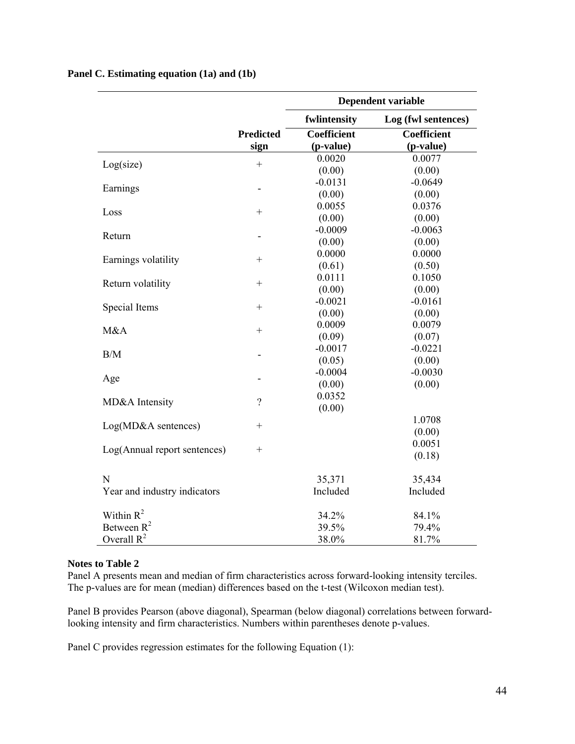|                              |                  | <b>Dependent variable</b> |                     |  |  |
|------------------------------|------------------|---------------------------|---------------------|--|--|
|                              |                  | fwlintensity              | Log (fwl sentences) |  |  |
|                              | <b>Predicted</b> | <b>Coefficient</b>        | Coefficient         |  |  |
|                              | sign             | (p-value)                 | (p-value)           |  |  |
| Log(size)                    | $^{+}$           | 0.0020                    | 0.0077              |  |  |
|                              |                  | (0.00)                    | (0.00)              |  |  |
| Earnings                     |                  | $-0.0131$                 | $-0.0649$           |  |  |
|                              |                  | (0.00)                    | (0.00)              |  |  |
| Loss                         | $^{+}$           | 0.0055                    | 0.0376              |  |  |
|                              |                  | (0.00)                    | (0.00)              |  |  |
| Return                       |                  | $-0.0009$                 | $-0.0063$           |  |  |
|                              |                  | (0.00)                    | (0.00)              |  |  |
|                              | $\! + \!$        | 0.0000                    | 0.0000              |  |  |
| Earnings volatility          |                  | (0.61)                    | (0.50)              |  |  |
|                              |                  | 0.0111                    | 0.1050              |  |  |
| Return volatility            |                  | (0.00)                    | (0.00)              |  |  |
| Special Items                | $\! + \!$        | $-0.0021$                 | $-0.0161$           |  |  |
|                              |                  | (0.00)                    | (0.00)              |  |  |
| M&A                          | $^{+}$           | 0.0009                    | 0.0079              |  |  |
|                              |                  | (0.09)                    | (0.07)              |  |  |
| B/M                          |                  | $-0.0017$                 | $-0.0221$           |  |  |
|                              |                  | (0.05)                    | (0.00)              |  |  |
|                              |                  | $-0.0004$                 | $-0.0030$           |  |  |
| Age                          |                  | (0.00)                    | (0.00)              |  |  |
| MD&A Intensity               | $\overline{?}$   | 0.0352                    |                     |  |  |
|                              |                  | (0.00)                    |                     |  |  |
| Log(MD&A sentences)          | $\! + \!$        |                           | 1.0708              |  |  |
|                              |                  |                           | (0.00)              |  |  |
| Log(Annual report sentences) |                  |                           | 0.0051              |  |  |
|                              |                  |                           | (0.18)              |  |  |
| $\mathbf N$                  |                  | 35,371                    | 35,434              |  |  |
| Year and industry indicators |                  | Included                  | Included            |  |  |
| Within $R^2$                 |                  | 34.2%                     | 84.1%               |  |  |
| Between $R^2$                |                  | 39.5%                     | 79.4%               |  |  |
| Overall $R^2$                |                  | 38.0%                     | 81.7%               |  |  |

## **Panel C. Estimating equation (1a) and (1b)**

#### **Notes to Table 2**

Panel A presents mean and median of firm characteristics across forward-looking intensity terciles. The p-values are for mean (median) differences based on the t-test (Wilcoxon median test).

Panel B provides Pearson (above diagonal), Spearman (below diagonal) correlations between forwardlooking intensity and firm characteristics. Numbers within parentheses denote p-values.

Panel C provides regression estimates for the following Equation (1):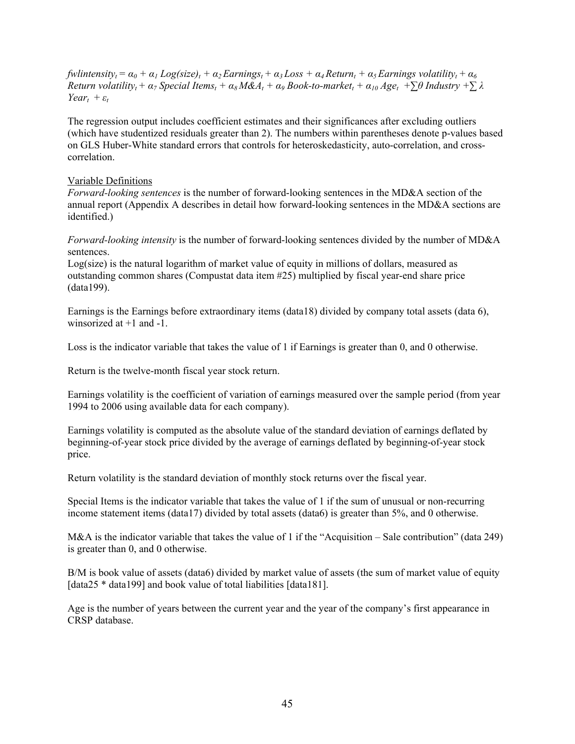$fwhintensity_t = \alpha_0 + \alpha_1 Log(size_t) + \alpha_2 Earnings_t + \alpha_3 Loss + \alpha_4 Return_t + \alpha_5 Earnings volatility_t + \alpha_6 Earnings$ *Return volatilityt + α7 Special Itemst + α8 M&At + α9 Book-to-markett + α10 Aget +∑θ Industry +∑ λ Year*<sub> $t$ </sub> +  $\varepsilon$ <sup>*t*</sup>

The regression output includes coefficient estimates and their significances after excluding outliers (which have studentized residuals greater than 2). The numbers within parentheses denote p-values based on GLS Huber-White standard errors that controls for heteroskedasticity, auto-correlation, and crosscorrelation.

### Variable Definitions

*Forward-looking sentences* is the number of forward-looking sentences in the MD&A section of the annual report (Appendix A describes in detail how forward-looking sentences in the MD&A sections are identified.)

*Forward-looking intensity* is the number of forward-looking sentences divided by the number of MD&A sentences.

Log(size) is the natural logarithm of market value of equity in millions of dollars, measured as outstanding common shares (Compustat data item #25) multiplied by fiscal year-end share price (data199).

Earnings is the Earnings before extraordinary items (data18) divided by company total assets (data 6), winsorized at +1 and -1.

Loss is the indicator variable that takes the value of 1 if Earnings is greater than 0, and 0 otherwise.

Return is the twelve-month fiscal year stock return.

Earnings volatility is the coefficient of variation of earnings measured over the sample period (from year 1994 to 2006 using available data for each company).

Earnings volatility is computed as the absolute value of the standard deviation of earnings deflated by beginning-of-year stock price divided by the average of earnings deflated by beginning-of-year stock price.

Return volatility is the standard deviation of monthly stock returns over the fiscal year.

Special Items is the indicator variable that takes the value of 1 if the sum of unusual or non-recurring income statement items (data17) divided by total assets (data6) is greater than 5%, and 0 otherwise.

M&A is the indicator variable that takes the value of 1 if the "Acquisition – Sale contribution" (data 249) is greater than 0, and 0 otherwise.

B/M is book value of assets (data6) divided by market value of assets (the sum of market value of equity [data25 \* data199] and book value of total liabilities [data181].

Age is the number of years between the current year and the year of the company's first appearance in CRSP database.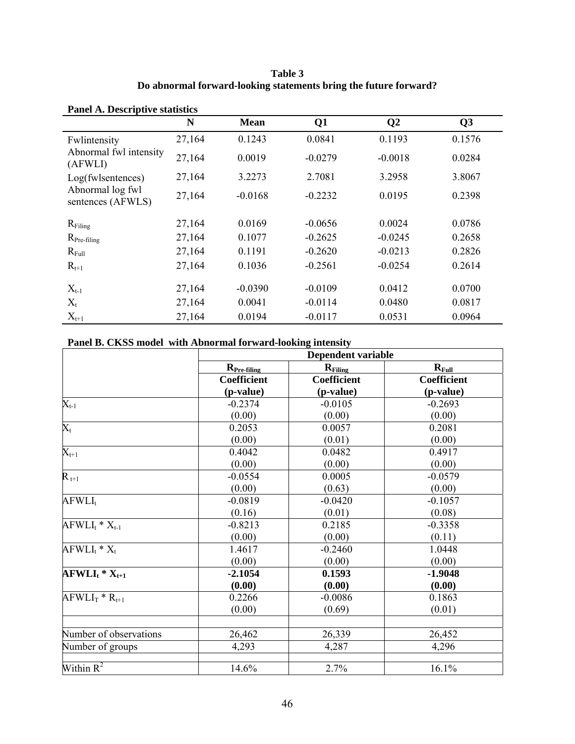**Table 3 Do abnormal forward-looking statements bring the future forward?** 

| Panel A. Descriptive statistics       |        |             |           |                |        |  |  |
|---------------------------------------|--------|-------------|-----------|----------------|--------|--|--|
|                                       | N      | <b>Mean</b> | Q1        | Q <sub>2</sub> | Q3     |  |  |
| Fwlintensity                          | 27,164 | 0.1243      | 0.0841    | 0.1193         | 0.1576 |  |  |
| Abnormal fwl intensity<br>(AFWLI)     | 27,164 | 0.0019      | $-0.0279$ | $-0.0018$      | 0.0284 |  |  |
| Log(fwlsentences)                     | 27,164 | 3.2273      | 2.7081    | 3.2958         | 3.8067 |  |  |
| Abnormal log fwl<br>sentences (AFWLS) | 27,164 | $-0.0168$   | $-0.2232$ | 0.0195         | 0.2398 |  |  |
| $R_{\text{Filing}}$                   | 27,164 | 0.0169      | $-0.0656$ | 0.0024         | 0.0786 |  |  |
| $R_{Pre-filing}$                      | 27,164 | 0.1077      | $-0.2625$ | $-0.0245$      | 0.2658 |  |  |
| $R_{Full}$                            | 27,164 | 0.1191      | $-0.2620$ | $-0.0213$      | 0.2826 |  |  |
| $R_{t+1}$                             | 27,164 | 0.1036      | $-0.2561$ | $-0.0254$      | 0.2614 |  |  |
| $X_{t-1}$                             | 27,164 | $-0.0390$   | $-0.0109$ | 0.0412         | 0.0700 |  |  |
| $X_t$                                 | 27,164 | 0.0041      | $-0.0114$ | 0.0480         | 0.0817 |  |  |
| $X_{t+1}$                             | 27,164 | 0.0194      | $-0.0117$ | 0.0531         | 0.0964 |  |  |

# **Panel A. Descriptive statistic**

# **Panel B. CKSS model with Abnormal forward-looking intensity**

|                        | Dependent variable |                     |             |  |  |
|------------------------|--------------------|---------------------|-------------|--|--|
|                        | $R_{Pre-filing}$   | $R_{\text{Filing}}$ | $R_{Full}$  |  |  |
|                        | <b>Coefficient</b> | <b>Coefficient</b>  | Coefficient |  |  |
|                        | (p-value)          | (p-value)           | (p-value)   |  |  |
| $X_{t-1}$              | $-0.2374$          | $-0.0105$           | $-0.2693$   |  |  |
|                        | (0.00)             | (0.00)              | (0.00)      |  |  |
| $X_t$                  | 0.2053             | 0.0057              | 0.2081      |  |  |
|                        | (0.00)             | (0.01)              | (0.00)      |  |  |
| $X_{t+1}$              | 0.4042             | 0.0482              | 0.4917      |  |  |
|                        | (0.00)             | (0.00)              | (0.00)      |  |  |
| $R_{t+1}$              | $-0.0554$          | 0.0005              | $-0.0579$   |  |  |
|                        | (0.00)             | (0.63)              | (0.00)      |  |  |
| $AFWLI_t$              | $-0.0819$          | $-0.0420$           | $-0.1057$   |  |  |
|                        | (0.16)             | (0.01)              | (0.08)      |  |  |
| $AFWLI_t * X_{t-1}$    | $-0.8213$          | 0.2185              | $-0.3358$   |  |  |
|                        | (0.00)             | (0.00)              | (0.11)      |  |  |
| $AFWLI_t * X_t$        | 1.4617             | $-0.2460$           | 1.0448      |  |  |
|                        | (0.00)             | (0.00)              | (0.00)      |  |  |
| $AFWLI_{t} * X_{t+1}$  | $-2.1054$          | 0.1593              | $-1.9048$   |  |  |
|                        | (0.00)             | (0.00)              | (0.00)      |  |  |
| $AFWLIT * Rt+1$        | 0.2266             | $-0.0086$           | 0.1863      |  |  |
|                        | (0.00)             | (0.69)              | (0.01)      |  |  |
|                        |                    |                     |             |  |  |
| Number of observations | 26,462             | 26,339              | 26,452      |  |  |
| Number of groups       | 4,293              | 4,287               | 4,296       |  |  |
|                        |                    |                     |             |  |  |
| Within $R^2$           | 14.6%              | 2.7%                | 16.1%       |  |  |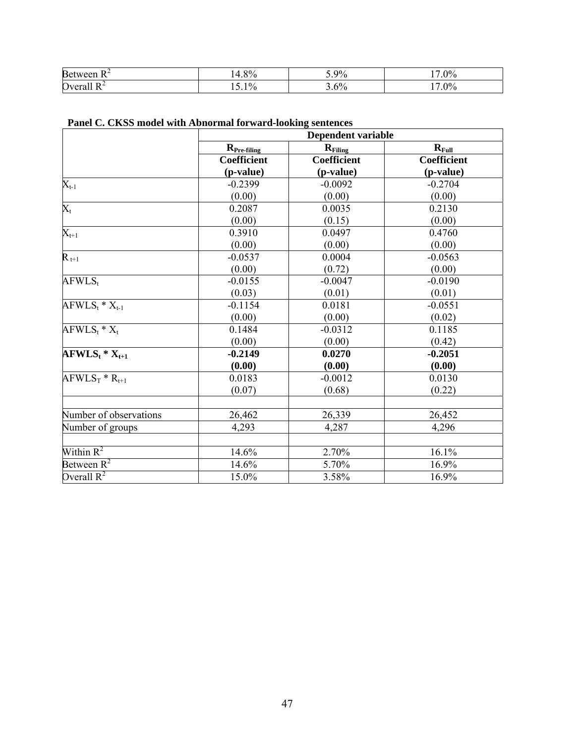| n<br>В€                     | O0 | $\Omega$ | $\Omega$ |
|-----------------------------|----|----------|----------|
| $\sim$<br>$\mathbf{N}$<br>∼ |    | ۵Ω.      | $\Omega$ |

|                                             | Dependent variable      |                     |                    |  |  |
|---------------------------------------------|-------------------------|---------------------|--------------------|--|--|
|                                             | R <sub>Pre-filing</sub> | $R_{\text{Filing}}$ | $R_{Full}$         |  |  |
|                                             | <b>Coefficient</b>      | <b>Coefficient</b>  | <b>Coefficient</b> |  |  |
|                                             | (p-value)               | (p-value)           | (p-value)          |  |  |
| $X_{t-1}$                                   | $-0.2399$               | $-0.0092$           | $-0.2704$          |  |  |
|                                             | (0.00)                  | (0.00)              | (0.00)             |  |  |
| $\overline{X_t}$                            | 0.2087                  | 0.0035              | 0.2130             |  |  |
|                                             | (0.00)                  | (0.15)              | (0.00)             |  |  |
| $X_{t+1}$                                   | 0.3910                  | 0.0497              | 0.4760             |  |  |
|                                             | (0.00)                  | (0.00)              | (0.00)             |  |  |
| $R_{t+1}$                                   | $-0.0537$               | 0.0004              | $-0.0563$          |  |  |
|                                             | (0.00)                  | (0.72)              | (0.00)             |  |  |
| AFWLS <sub>t</sub>                          | $-0.0155$               | $-0.0047$           | $-0.0190$          |  |  |
|                                             | (0.03)                  | (0.01)              | (0.01)             |  |  |
| $AFWLS_t * X_{t-1}$                         | $-0.1154$               | 0.0181              | $-0.0551$          |  |  |
|                                             | (0.00)                  | (0.00)              | (0.02)             |  |  |
| $AFWLS_t * X_t$                             | 0.1484                  | $-0.0312$           | 0.1185             |  |  |
|                                             | (0.00)                  | (0.00)              | (0.42)             |  |  |
| $\overline{\bf AFWLS}_{t}$ * $\bf{X}_{t+1}$ | $-0.2149$               | 0.0270              | $-0.2051$          |  |  |
|                                             | (0.00)                  | (0.00)              | (0.00)             |  |  |
| $AFWLS_T * R_{t+1}$                         | 0.0183                  | $-0.0012$           | 0.0130             |  |  |
|                                             | (0.07)                  | (0.68)              | (0.22)             |  |  |
|                                             |                         |                     |                    |  |  |
| Number of observations                      | 26,462                  | 26,339              | 26,452             |  |  |
| Number of groups                            | 4,293                   | 4,287               | 4,296              |  |  |
|                                             |                         |                     |                    |  |  |
| Within $R^2$                                | 14.6%                   | 2.70%               | 16.1%              |  |  |
| Between $\overline{R^2}$                    | 14.6%                   | 5.70%               | 16.9%              |  |  |
| Overall $R^2$                               | 15.0%                   | 3.58%               | 16.9%              |  |  |

# **Panel C. CKSS model with Abnormal forward-looking sentences**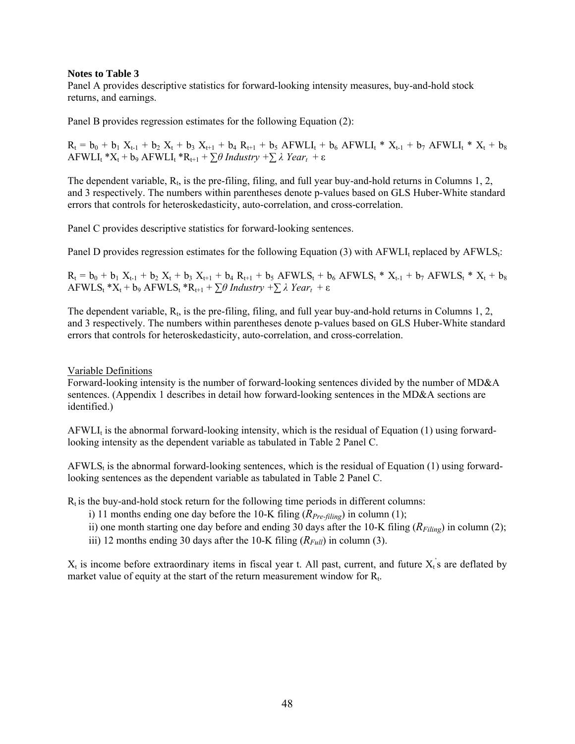### **Notes to Table 3**

Panel A provides descriptive statistics for forward-looking intensity measures, buy-and-hold stock returns, and earnings.

Panel B provides regression estimates for the following Equation (2):

 $R_t = b_0 + b_1 X_{t-1} + b_2 X_t + b_3 X_{t+1} + b_4 R_{t+1} + b_5 AFWLI_t + b_6 AFWLI_t * X_{t-1} + b_7 AFWLI_t * X_t + b_8$  $AFWLI_t *X_t + b_9 AFWLI_t *R_{t+1} + \sum \theta \text{ Industry } + \sum \lambda \text{ Year}_t + \varepsilon$ 

The dependent variable,  $R_t$ , is the pre-filing, filing, and full year buy-and-hold returns in Columns 1, 2, and 3 respectively. The numbers within parentheses denote p-values based on GLS Huber-White standard errors that controls for heteroskedasticity, auto-correlation, and cross-correlation.

Panel C provides descriptive statistics for forward-looking sentences.

Panel D provides regression estimates for the following Equation (3) with AFWLI<sub>t</sub> replaced by AFWLS<sub>t</sub>:

 $R_t = b_0 + b_1 X_{t-1} + b_2 X_t + b_3 X_{t+1} + b_4 R_{t+1} + b_5 AFWLS_t + b_6 AFWLS_t * X_{t-1} + b_7 AFWLS_t * X_t + b_8$  $AFWLS_t$  \* $X_t$  +  $b_9$   $AFWLS_t$  \* $R_{t+1}$  +  $\sum \theta$  *Industry* + $\sum \lambda$  *Year*<sub>t</sub> +  $\varepsilon$ 

The dependent variable,  $R_t$ , is the pre-filing, filing, and full year buy-and-hold returns in Columns 1, 2, and 3 respectively. The numbers within parentheses denote p-values based on GLS Huber-White standard errors that controls for heteroskedasticity, auto-correlation, and cross-correlation.

Variable Definitions

Forward-looking intensity is the number of forward-looking sentences divided by the number of MD&A sentences. (Appendix 1 describes in detail how forward-looking sentences in the MD&A sections are identified.)

AFWLI<sub>t</sub> is the abnormal forward-looking intensity, which is the residual of Equation  $(1)$  using forwardlooking intensity as the dependent variable as tabulated in Table 2 Panel C.

 $AFWLS<sub>t</sub>$  is the abnormal forward-looking sentences, which is the residual of Equation (1) using forwardlooking sentences as the dependent variable as tabulated in Table 2 Panel C.

 $R_t$  is the buy-and-hold stock return for the following time periods in different columns:

- i) 11 months ending one day before the 10-K filing  $(R_{Pre-filing})$  in column (1);
- ii) one month starting one day before and ending 30 days after the 10-K filing  $(R_{Filing})$  in column (2);
- iii) 12 months ending 30 days after the 10-K filing  $(R_{Full})$  in column (3).

 $X_t$  is income before extraordinary items in fiscal year t. All past, current, and future  $X_t$ 's are deflated by market value of equity at the start of the return measurement window for  $R_t$ .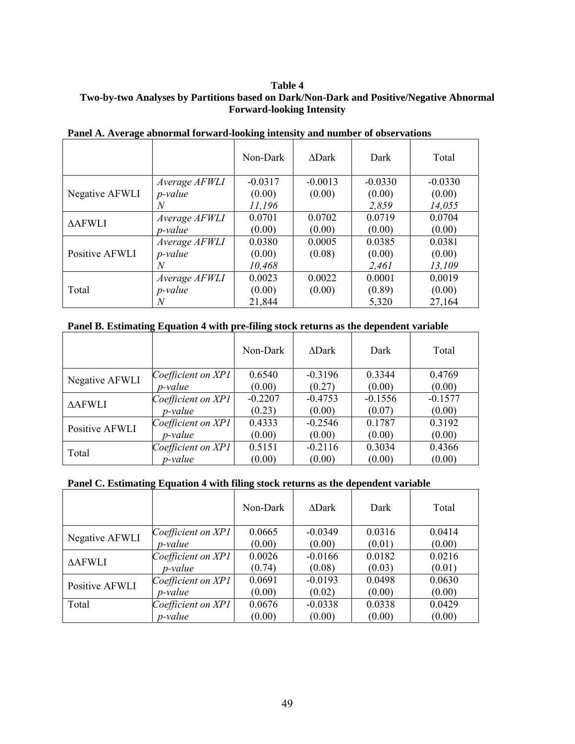## **Table 4 Two-by-two Analyses by Partitions based on Dark/Non-Dark and Positive/Negative Abnormal Forward-looking Intensity**

|                |                 | Non-Dark  | $\triangle$ Dark | Dark      | Total     |
|----------------|-----------------|-----------|------------------|-----------|-----------|
|                | Average AFWLI   | $-0.0317$ | $-0.0013$        | $-0.0330$ | $-0.0330$ |
| Negative AFWLI | <i>p</i> -value | (0.00)    | (0.00)           | (0.00)    | (0.00)    |
|                | N               | 11,196    |                  | 2,859     | 14,055    |
| <b>AAFWLI</b>  | Average AFWLI   | 0.0701    | 0.0702           | 0.0719    | 0.0704    |
|                | <i>p</i> -value | (0.00)    | (0.00)           | (0.00)    | (0.00)    |
|                | Average AFWLI   | 0.0380    | 0.0005           | 0.0385    | 0.0381    |
| Positive AFWLI | <i>p</i> -value | (0.00)    | (0.08)           | (0.00)    | (0.00)    |
|                | N               | 10,468    |                  | 2,461     | 13,109    |
| Total          | Average AFWLI   | 0.0023    | 0.0022           | 0.0001    | 0.0019    |
|                | <i>p</i> -value | (0.00)    | (0.00)           | (0.89)    | (0.00)    |
|                |                 | 21,844    |                  | 5,320     | 27,164    |

# **Panel A. Average abnormal forward-looking intensity and number of observations**

### **Panel B. Estimating Equation 4 with pre-filing stock returns as the dependent variable**

|                |                    | Non-Dark  | <b>ADark</b> | Dark      | Total     |
|----------------|--------------------|-----------|--------------|-----------|-----------|
| Negative AFWLI | Coefficient on XP1 | 0.6540    | $-0.3196$    | 0.3344    | 0.4769    |
|                | <i>p</i> -value    | (0.00)    | (0.27)       | (0.00)    | (0.00)    |
| <b>AAFWLI</b>  | Coefficient on XP1 | $-0.2207$ | $-0.4753$    | $-0.1556$ | $-0.1577$ |
|                | <i>p</i> -value    | (0.23)    | (0.00)       | (0.07)    | (0.00)    |
| Positive AFWLI | Coefficient on XP1 | 0.4333    | $-0.2546$    | 0.1787    | 0.3192    |
|                | p-value            | (0.00)    | (0.00)       | (0.00)    | (0.00)    |
| Total          | Coefficient on XP1 | 0.5151    | $-0.2116$    | 0.3034    | 0.4366    |
|                | p-value            | (0.00)    | (0.00)       | (0.00)    | (0.00)    |

# **Panel C. Estimating Equation 4 with filing stock returns as the dependent variable**

|                |                    | Non-Dark | <b>ADark</b> | Dark   | Total  |
|----------------|--------------------|----------|--------------|--------|--------|
| Negative AFWLI | Coefficient on XP1 | 0.0665   | $-0.0349$    | 0.0316 | 0.0414 |
|                | <i>p</i> -value    | (0.00)   | (0.00)       | (0.01) | (0.00) |
| <b>AAFWLI</b>  | Coefficient on XP1 | 0.0026   | $-0.0166$    | 0.0182 | 0.0216 |
|                | <i>p</i> -value    | (0.74)   | (0.08)       | (0.03) | (0.01) |
| Positive AFWLI | Coefficient on XP1 | 0.0691   | $-0.0193$    | 0.0498 | 0.0630 |
|                | <i>p</i> -value    | (0.00)   | (0.02)       | (0.00) | (0.00) |
| Total          | Coefficient on XP1 | 0.0676   | $-0.0338$    | 0.0338 | 0.0429 |
|                | <i>p</i> -value    | (0.00)   | (0.00)       | (0.00) | (0.00) |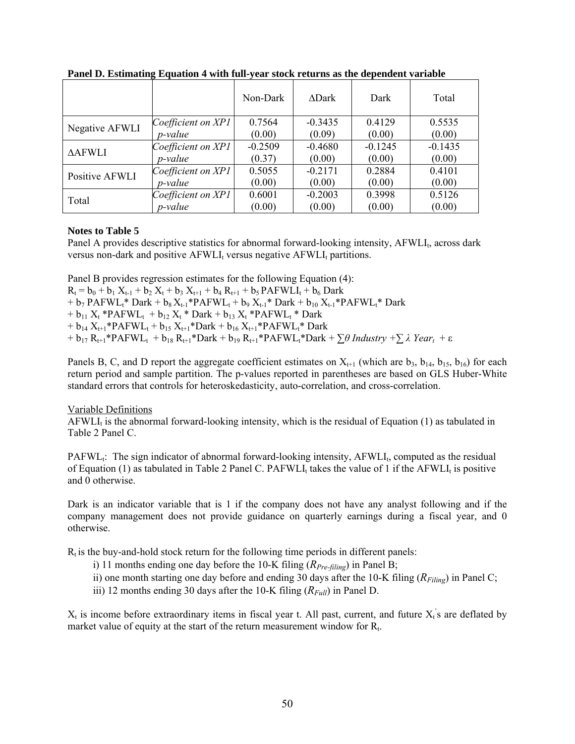|                |                      | Non-Dark  | <b>ADark</b> | Dark      | Total     |
|----------------|----------------------|-----------|--------------|-----------|-----------|
| Negative AFWLI | Coefficient on XP1   | 0.7564    | $-0.3435$    | 0.4129    | 0.5535    |
|                | <i>p</i> -value      | (0.00)    | (0.09)       | (0.00)    | (0.00)    |
| <b>AAFWLI</b>  | Coefficient on $XPI$ | $-0.2509$ | $-0.4680$    | $-0.1245$ | $-0.1435$ |
|                | <i>p</i> -value      | (0.37)    | (0.00)       | (0.00)    | (0.00)    |
| Positive AFWLI | Coefficient on XP1   | 0.5055    | $-0.2171$    | 0.2884    | 0.4101    |
|                | <i>p</i> -value      | (0.00)    | (0.00)       | (0.00)    | (0.00)    |
| Total          | Coefficient on XP1   | 0.6001    | $-0.2003$    | 0.3998    | 0.5126    |
|                | <i>p</i> -value      | (0.00)    | (0.00)       | (0.00)    | (0.00)    |

**Panel D. Estimating Equation 4 with full-year stock returns as the dependent variable** 

### **Notes to Table 5**

Panel A provides descriptive statistics for abnormal forward-looking intensity,  $AFWLI<sub>t</sub>$ , across dark versus non-dark and positive  $AFWLI_t$  versus negative  $AFWLI_t$  partitions.

Panel B provides regression estimates for the following Equation (4):  $R_t = b_0 + b_1 X_{t-1} + b_2 X_t + b_3 X_{t+1} + b_4 R_{t+1} + b_5 PAFWLI_t + b_6 Dark$ +  $b_7$  PAFWL<sub>t</sub>\* Dark +  $b_8 X_{t-1}$ \*PAFWL<sub>t</sub> +  $b_9 X_{t-1}$ \* Dark +  $b_{10} X_{t-1}$ \*PAFWL<sub>t</sub>\* Dark  $+ b_{11} X_t * PAFWL_t + b_{12} X_t * Dark + b_{13} X_t * PAFWL_t * Dark$ +  $b_{14} X_{t+1}$ \*PAFWL<sub>t</sub> +  $b_{15} X_{t+1}$ \*Dark +  $b_{16} X_{t+1}$ \*PAFWL<sub>t</sub>\* Dark +  $b_{17}R_{t+1}$ \*PAFWL<sub>t</sub> +  $b_{18}R_{t+1}$ \*Dark +  $b_{19}R_{t+1}$ \*PAFWL<sub>t</sub>\*Dark +  $\sum \theta$  *Industry* +  $\sum \lambda$ *Year*<sub>t</sub> +  $\varepsilon$ 

Panels B, C, and D report the aggregate coefficient estimates on  $X_{t+1}$  (which are  $b_3$ ,  $b_{14}$ ,  $b_{15}$ ,  $b_{16}$ ) for each return period and sample partition. The p-values reported in parentheses are based on GLS Huber-White standard errors that controls for heteroskedasticity, auto-correlation, and cross-correlation.

### Variable Definitions

 $AFWLI<sub>t</sub>$  is the abnormal forward-looking intensity, which is the residual of Equation (1) as tabulated in Table 2 Panel C.

 $PAFWL<sub>t</sub>:$  The sign indicator of abnormal forward-looking intensity,  $AFWL<sub>t</sub>$ , computed as the residual of Equation (1) as tabulated in Table 2 Panel C. PAFWLI, takes the value of 1 if the AFWLI, is positive and 0 otherwise.

Dark is an indicator variable that is 1 if the company does not have any analyst following and if the company management does not provide guidance on quarterly earnings during a fiscal year, and 0 otherwise.

 $R_t$  is the buy-and-hold stock return for the following time periods in different panels:

- i) 11 months ending one day before the 10-K filing (*RPre-filing*) in Panel B;
- ii) one month starting one day before and ending 30 days after the 10-K filing  $(R_{Filing})$  in Panel C;
- iii) 12 months ending 30 days after the 10-K filing  $(R_{Full})$  in Panel D.

 $X_t$  is income before extraordinary items in fiscal year t. All past, current, and future  $X_t$ 's are deflated by market value of equity at the start of the return measurement window for  $R_t$ .